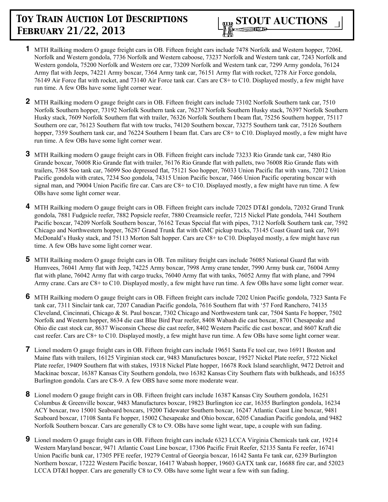

- **1** MTH Railking modern O gauge freight cars in OB. Fifteen freight cars include 7478 Norfolk and Western hopper, 7206L Norfolk and Western gondola, 7736 Norfolk and Western caboose, 73237 Norfolk and Western tank car, 7243 Norfolk and Western gondola, 75200 Norfolk and Western ore car, 73209 Norfolk and Western tank car, 7299 Army gondola, 76124 Army flat with Jeeps, 74221 Army boxcar, 7364 Army tank car, 76151 Army flat with rocket, 7278 Air Force gondola, 76149 Air Force flat with rocket, and 73140 Air Force tank car. Cars are C8+ to C10. Displayed mostly, a few might have run time. A few OBs have some light corner wear.
- **2** MTH Railking modern O gauge freight cars in OB. Fifteen freight cars include 73102 Norfolk Southern tank car, 7510 Norfolk Southern hopper, 73192 Norfolk Southern tank car, 76237 Norfolk Southern Husky stack, 76397 Norfolk Southern Husky stack, 7609 Norfolk Southern flat with trailer, 76326 Norfolk Southern I beam flat, 75256 Southern hopper, 75117 Southern ore car, 76123 Southern flat with tow trucks, 74120 Southern boxcar, 73275 Southern tank car, 75126 Southern hopper, 7359 Southern tank car, and 76224 Southern I beam flat. Cars are C8+ to C10. Displayed mostly, a few might have run time. A few OBs have some light corner wear.
- **3** MTH Railking modern O gauge freight cars in OB. Fifteen freight cars include 73233 Rio Grande tank car, 7480 Rio Grande boxcar, 76008 Rio Grande flat with trailer, 76176 Rio Grande flat with pallets, two 76008 Rio Grande flats with trailers, 7368 Soo tank car, 76099 Soo depressed flat, 75121 Soo hopper, 76033 Union Pacific flat with vans, 72012 Union Pacific gondola with crates, 7234 Soo gondola, 74315 Union Pacific boxcar, 7466 Union Pacific operating boxcar with signal man, and 79004 Union Pacific fire car. Cars are C8+ to C10. Displayed mostly, a few might have run time. A few OBs have some light corner wear.
- **4** MTH Railking modern O gauge freight cars in OB. Fifteen freight cars include 72025 DT&I gondola, 72032 Grand Trunk gondola, 7881 Fudgsicle reefer, 7882 Popsicle reefer, 7880 Creamsicle reefer, 7215 Nickel Plate gondola, 7441 Southern Pacific boxcar, 74209 Norfolk Southern boxcar, 76162 Texas Special flat with pipes, 7312 Norfolk Southern tank car, 7592 Chicago and Northwestern hopper, 76287 Grand Trunk flat with GMC pickup trucks, 73145 Coast Guard tank car, 7691 McDonald's Husky stack, and 75113 Morton Salt hopper. Cars are C8+ to C10. Displayed mostly, a few might have run time. A few OBs have some light corner wear.
- **5** MTH Railking modern O gauge freight cars in OB. Ten military freight cars include 76085 National Guard flat with Humvees, 76041 Army flat with Jeep, 74225 Army boxcar, 7998 Army crane tender, 7990 Army bunk car, 76004 Army flat with plane, 76042 Army flat with cargo trucks, 76040 Army flat with tanks, 76052 Army flat with plane, and 7994 Army crane. Cars are C8+ to C10. Displayed mostly, a few might have run time. A few OBs have some light corner wear.
- **6** MTH Railking modern O gauge freight cars in OB. Fifteen freight cars include 7202 Union Pacific gondola, 7323 Santa Fe tank car, 7311 Sinclair tank car, 7207 Canadian Pacific gondola, 7616 Southern flat with '57 Ford Ranchero, 74135 Cleveland, Cincinnati, Chicago & St. Paul boxcar, 7302 Chicago and Northwestern tank car, 7504 Santa Fe hopper, 7502 Norfolk and Western hopper, 8634 die cast Blue Bird Pear reefer, 8408 Wabash die cast boxcar, 8701 Chesapeake and Ohio die cast stock car, 8637 Wisconsin Cheese die cast reefer, 8402 Western Pacific die cast boxcar, and 8607 Kraft die cast reefer. Cars are C8+ to C10. Displayed mostly, a few might have run time. A few OBs have some light corner wear.
- **7** Lionel modern O gauge freight cars in OB. Fifteen freight cars include 19651 Santa Fe tool car, two 16911 Boston and Maine flats with trailers, 16125 Virginian stock car, 9483 Manufactures boxcar, 19527 Nickel Plate reefer, 5722 Nickel Plate reefer, 19409 Southern flat with stakes, 19318 Nickel Plate hopper, 16678 Rock Island searchlight, 9472 Detroit and Mackinac boxcar, 16387 Kansas City Southern gondola, two 16382 Kansas City Southern flats with bulkheads, and 16355 Burlington gondola. Cars are C8-9. A few OBS have some more moderate wear.
- **8** Lionel modern O gauge freight cars in OB. Fifteen freight cars include 16387 Kansas City Southern gondola, 16251 Columbus & Greenville boxcar, 9483 Manufactures boxcar, 19823 Burlington ice car, 16355 Burlington gondola, 16234 ACY boxcar, two 15001 Seaboard boxcars, 19200 Tidewater Southern boxcar, 16247 Atlantic Coast Line boxcar, 9481 Seaboard boxcar, 17108 Santa Fe hopper, 15002 Chesapeake and Ohio boxcar, 6205 Canadian Pacific gondola, and 9482 Norfolk Southern boxcar. Cars are generally C8 to C9. OBs have some light wear, tape, a couple with sun fading.
- **9** Lionel modern O gauge freight cars in OB. Fifteen freight cars include 6323 LCCA Virginia Chemicals tank car, 19214 Western Maryland boxcar, 9471 Atlantic Coast Line boxcar, 17306 Pacific Fruit Reefer, 52135 Santa Fe reefer, 16741 Union Pacific bunk car, 17305 PFE reefer, 19279 Central of Georgia boxcar, 16142 Santa Fe tank car, 6239 Burlington Northern boxcar, 17222 Western Pacific boxcar, 16417 Wabash hopper, 19603 GATX tank car, 16688 fire car, and 52023 LCCA DT&I hopper. Cars are generally C8 to C9. OBs have some light wear a few with sun fading.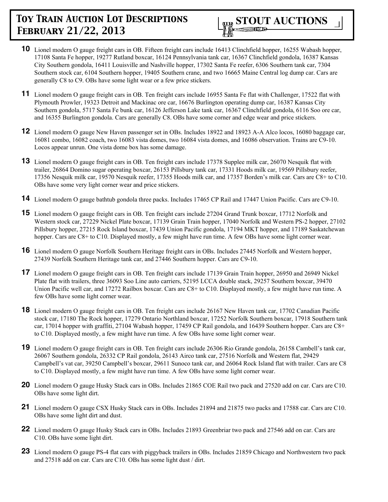- **10** Lionel modern O gauge freight cars in OB. Fifteen freight cars include 16413 Clinchfield hopper, 16255 Wabash hopper, 17108 Santa Fe hopper, 19277 Rutland boxcar, 16124 Pennsylvania tank car, 16367 Clinchfield gondola, 16387 Kansas City Southern gondola, 16411 Louisville and Nashville hopper, 17302 Santa Fe reefer, 6306 Southern tank car, 7304 Southern stock car, 6104 Southern hopper, 19405 Southern crane, and two 16665 Maine Central log dump car. Cars are generally C8 to C9. OBs have some light wear or a few price stickers.
- **11** Lionel modern O gauge freight cars in OB. Ten freight cars include 16955 Santa Fe flat with Challenger, 17522 flat with Plymouth Prowler, 19323 Detroit and Mackinac ore car, 16676 Burlington operating dump car, 16387 Kansas City Southern gondola, 5717 Santa Fe bunk car, 16126 Jefferson Lake tank car, 16367 Clinchfield gondola, 6116 Soo ore car, and 16355 Burlington gondola. Cars are generally C8. OBs have some corner and edge wear and price stickers.
- **12** Lionel modern O gauge New Haven passenger set in OBs. Includes 18922 and 18923 A-A Alco locos, 16080 baggage car, 16081 combo, 16082 coach, two 16083 vista domes, two 16084 vista domes, and 16086 observation. Trains are C9-10. Locos appear unrun. One vista dome box has some damage.
- **13** Lionel modern O gauge freight cars in OB. Ten freight cars include 17378 Supplee milk car, 26070 Nesquik flat with trailer, 26864 Domino sugar operating boxcar, 26153 Pillsbury tank car, 17331 Hoods milk car, 19569 Pillsbury reefer, 17356 Nesquik milk car, 19570 Nesquik reefer, 17355 Hoods milk car, and 17357 Borden's milk car. Cars are C8+ to C10. OBs have some very light corner wear and price stickers.
- **14** Lionel modern O gauge bathtub gondola three packs. Includes 17465 CP Rail and 17447 Union Pacific. Cars are C9-10.
- **15** Lionel modern O gauge freight cars in OB. Ten freight cars include 27204 Grand Trunk boxcar, 17712 Norfolk and Western stock car, 27229 Nickel Plate boxcar, 17139 Grain Train hopper, 17040 Norfolk and Western PS-2 hopper, 27102 Pillsbury hopper, 27215 Rock Island boxcar, 17439 Union Pacific gondola, 17194 MKT hopper, and 17189 Saskatchewan hopper. Cars are C8+ to C10. Displayed mostly, a few might have run time. A few OBs have some light corner wear.
- **16** Lionel modern O gauge Norfolk Southern Heritage freight cars in OBs. Includes 27445 Norfolk and Western hopper, 27439 Norfolk Southern Heritage tank car, and 27446 Southern hopper. Cars are C9-10.
- **17** Lionel modern O gauge freight cars in OB. Ten freight cars include 17139 Grain Train hopper, 26950 and 26949 Nickel Plate flat with trailers, three 36093 Soo Line auto carriers, 52195 LCCA double stack, 29257 Southern boxcar, 39470 Union Pacific well car, and 17272 Railbox boxcar. Cars are C8+ to C10. Displayed mostly, a few might have run time. A few OBs have some light corner wear.
- **18** Lionel modern O gauge freight cars in OB. Ten freight cars include 26167 New Haven tank car, 17702 Canadian Pacific stock car, 17180 The Rock hopper, 17279 Ontario Northland boxcar, 17252 Norfolk Southern boxcar, 17918 Southern tank car, 17014 hopper with graffiti, 27104 Wabash hopper, 17459 CP Rail gondola, and 16439 Southern hopper. Cars are C8+ to C10. Displayed mostly, a few might have run time. A few OBs have some light corner wear.
- **19** Lionel modern O gauge freight cars in OB. Ten freight cars include 26306 Rio Grande gondola, 26158 Cambell's tank car, 26067 Southern gondola, 26332 CP Rail gondola, 26143 Airco tank car, 27516 Norfolk and Western flat, 29429 Campbell's vat car, 39250 Campbell's boxcar, 29611 Sunoco tank car, and 26064 Rock Island flat with trailer. Cars are C8 to C10. Displayed mostly, a few might have run time. A few OBs have some light corner wear.
- **20** Lionel modern O gauge Husky Stack cars in OBs. Includes 21865 COE Rail two pack and 27520 add on car. Cars are C10. OBs have some light dirt.
- **21** Lionel modern O gauge CSX Husky Stack cars in OBs. Includes 21894 and 21875 two packs and 17588 car. Cars are C10. OBs have some light dirt and dust.
- **22** Lionel modern O gauge Husky Stack cars in OBs. Includes 21893 Greenbriar two pack and 27546 add on car. Cars are C10. OBs have some light dirt.
- **23** Lionel modern O gauge PS-4 flat cars with piggyback trailers in OBs. Includes 21859 Chicago and Northwestern two pack and 27518 add on car. Cars are C10. OBs has some light dust / dirt.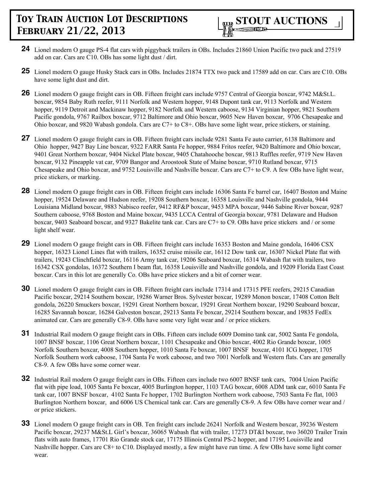

- **24** Lionel modern O gauge PS-4 flat cars with piggyback trailers in OBs. Includes 21860 Union Pacific two pack and 27519 add on car. Cars are C10. OBs has some light dust / dirt.
- **25** Lionel modern O gauge Husky Stack cars in OBs. Includes 21874 TTX two pack and 17589 add on car. Cars are C10. OBs have some light dust and dirt.
- **26** Lionel modern O gauge freight cars in OB. Fifteen freight cars include 9757 Central of Georgia boxcar, 9742 M&St.L. boxcar, 9854 Baby Ruth reefer, 9111 Norfolk and Western hopper, 9148 Dupont tank car, 9113 Norfolk and Western hopper, 9119 Detroit and Mackinaw hopper, 9182 Norfolk and Western caboose, 9134 Virginian hopper, 9821 Southern Pacific gondola, 9767 Railbox boxcar, 9712 Baltimore and Ohio boxcar, 9605 New Haven boxcar, 9706 Chesapeake and Ohio boxcar, and 9820 Wabash gondola. Cars are C7+ to C8+. OBs have some light wear, price stickers, or staining.
- **27** Lionel modern O gauge freight cars in OB. Fifteen freight cars include 9281 Santa Fe auto carrier, 6138 Baltimore and Ohio hopper, 9427 Bay Line boxcar, 9322 FARR Santa Fe hopper, 9884 Fritos reefer, 9420 Baltimore and Ohio boxcar, 9401 Great Northern boxcar, 9404 Nickel Plate boxcar, 9405 Chatahooche boxcar, 9813 Ruffles reefer, 9719 New Haven boxcar, 9132 Pineapple vat car, 9709 Bangor and Aroostook State of Maine boxcar, 9710 Rutland boxcar, 9715 Chesapeake and Ohio boxcar, and 9752 Louisville and Nashville boxcar. Cars are C7+ to C9. A few OBs have light wear, price stickers, or marking.
- **28** Lionel modern O gauge freight cars in OB. Fifteen freight cars include 16306 Santa Fe barrel car, 16407 Boston and Maine hopper, 19524 Delaware and Hudson reefer, 19208 Southern boxcar, 16358 Louisville and Nashville gondola, 9444 Louisiana Midland boxcar, 9883 Nabisco reefer, 9412 RF&P boxcar, 9453 MPA boxcar, 9446 Sabine River boxcar, 9287 Southern caboose, 9768 Boston and Maine boxcar, 9435 LCCA Central of Georgia boxcar, 9781 Delaware and Hudson boxcar, 9403 Seaboard boxcar, and 9327 Bakelite tank car. Cars are C7+ to C9. OBs have price stickers and / or some light shelf wear.
- **29** Lionel modern O gauge freight cars in OB. Fifteen freight cars include 16353 Boston and Maine gondola, 16406 CSX hopper, 16323 Lionel Lines flat with trailers, 16352 cruise missile car, 16112 Dow tank car, 16307 Nickel Plate flat with trailers, 19243 Clinchfield boxcar, 16116 Army tank car, 19206 Seaboard boxcar, 16314 Wabash flat with trailers, two 16342 CSX gondolas, 16372 Southern I beam flat, 16358 Louisville and Nashville gondola, and 19209 Florida East Coast boxcar. Cars in this lot are generally Co. OBs have price stickers and a bit of corner wear.
- **30** Lionel modern O gauge freight cars in OB. Fifteen freight cars include 17314 and 17315 PFE reefers, 29215 Canadian Pacific boxcar, 29214 Southern boxcar, 19286 Warner Bros. Sylvester boxcar, 19289 Monon boxcar, 17408 Cotton Belt gondola, 26220 Smuckers boxcar, 19291 Great Northern boxcar, 19291 Great Northern boxcar, 19290 Seaboard boxcar, 16285 Savannah boxcar, 16284 Galveston boxcar, 29213 Santa Fe boxcar, 29214 Southern boxcar, and 19835 FedEx animated car. Cars are generally C8-9. OBs have some very light wear and / or price stickers.
- **31** Industrial Rail modern O gauge freight cars in OBs. Fifteen cars include 6009 Domino tank car, 5002 Santa Fe gondola, 1007 BNSF boxcar, 1106 Great Northern boxcar, 1101 Chesapeake and Ohio boxcar, 4002 Rio Grande boxcar, 1005 Norfolk Southern boxcar, 4008 Southern hopper, 1010 Santa Fe boxcar, 1007 BNSF boxcar, 4101 ICG hopper, 1705 Norfolk Southern work caboose, 1704 Santa Fe work caboose, and two 7001 Norfolk and Western flats. Cars are generally C8-9. A few OBs have some corner wear.
- **32** Industrial Rail modern O gauge freight cars in OBs. Fifteen cars include two 6007 BNSF tank cars, 7004 Union Pacific flat with pipe load, 1005 Santa Fe boxcar, 4005 Burlington hopper, 1103 TAG boxcar, 6008 ADM tank car, 6010 Santa Fe tank car, 1007 BNSF boxcar, 4102 Santa Fe hopper, 1702 Burlington Northern work caboose, 7503 Santa Fe flat, 1003 Burlington Northern boxcar, and 6006 US Chemical tank car. Cars are generally C8-9. A few OBs have corner wear and / or price stickers.
- **33** Lionel modern O gauge freight cars in OB. Ten freight cars include 26241 Norfolk and Western boxcar, 39236 Western Pacific boxcar, 29237 M&St.L Girl's boxcar, 36065 Wabash flat with trailer, 17273 DT&I boxcar, two 36020 Trailer Train flats with auto frames, 17701 Rio Grande stock car, 17175 Illinois Central PS-2 hopper, and 17195 Louisville and Nashville hopper. Cars are C8+ to C10. Displayed mostly, a few might have run time. A few OBs have some light corner wear.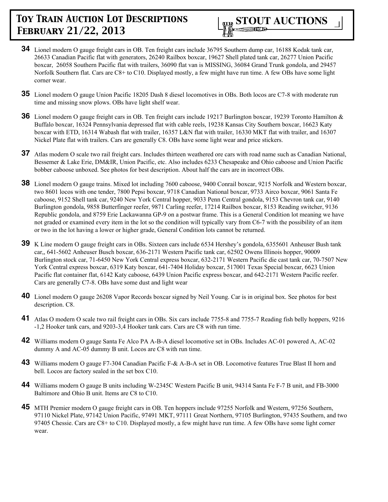

- **34** Lionel modern O gauge freight cars in OB. Ten freight cars include 36795 Southern dump car, 16188 Kodak tank car, 26633 Canadian Pacific flat with generators, 26240 Railbox boxcar, 19627 Shell plated tank car, 26277 Union Pacific boxcar, 26058 Southern Pacific flat with trailers, 36090 flat van is MISSING, 36084 Grand Trunk gondola, and 29457 Norfolk Southern flat. Cars are C8+ to C10. Displayed mostly, a few might have run time. A few OBs have some light corner wear.
- **35** Lionel modern O gauge Union Pacific 18205 Dash 8 diesel locomotives in OBs. Both locos are C7-8 with moderate run time and missing snow plows. OBs have light shelf wear.
- **36** Lionel modern O gauge freight cars in OB. Ten freight cars include 19217 Burlington boxcar, 19239 Toronto Hamilton & Buffalo boxcar, 16324 Pennsylvania depressed flat with cable reels, 19238 Kansas City Southern boxcar, 16623 Katy boxcar with ETD, 16314 Wabash flat with trailer, 16357 L&N flat with trailer, 16330 MKT flat with trailer, and 16307 Nickel Plate flat with trailers. Cars are generally C8. OBs have some light wear and price stickers.
- **37** Atlas modern O scale two rail freight cars. Includes thirteen weathered ore cars with road name such as Canadian National, Bessemer & Lake Erie, DM&IR, Union Pacific, etc. Also includes 6233 Chesapeake and Ohio caboose and Union Pacific bobber caboose unboxed. See photos for best description. About half the cars are in incorrect OBs.
- **38** Lionel modern O gauge trains. Mixed lot including 7600 caboose, 9400 Conrail boxcar, 9215 Norfolk and Western boxcar, two 8601 locos with one tender, 7800 Pepsi boxcar, 9718 Canadian National boxcar, 9733 Airco boxcar, 9061 Santa Fe caboose, 9152 Shell tank car, 9240 New York Central hopper, 9033 Penn Central gondola, 9153 Chevron tank car, 9140 Burlington gondola, 9858 Butterfinger reefer, 9871 Carling reefer, 17214 Railbox boxcar, 8153 Reading switcher, 9136 Republic gondola, and 8759 Erie Lackawanna GP-9 on a postwar frame. This is a General Condition lot meaning we have not graded or examined every item in the lot so the condition will typically vary from C6-7 with the possibility of an item or two in the lot having a lower or higher grade, General Condition lots cannot be returned.
- **39** K Line modern O gauge freight cars in OBs. Sixteen cars include 6534 Hershey's gondola, 6355601 Anheuser Bush tank car,, 641-5602 Anheuser Busch boxcar, 636-2171 Western Pacific tank car, 62502 Owens Illinois hopper, 90009 Burlington stock car, 71-6450 New York Central express boxcar, 632-2171 Western Pacific die cast tank car, 70-7507 New York Central express boxcar, 6319 Katy boxcar, 641-7404 Holiday boxcar, 517001 Texas Special boxcar, 6623 Union Pacific flat container flat, 6142 Katy caboose, 6439 Union Pacific express boxcar, and 642-2171 Western Pacific reefer. Cars are generally C7-8. OBs have some dust and light wear
- **40** Lionel modern O gauge 26208 Vapor Records boxcar signed by Neil Young. Car is in original box. See photos for best description. C8.
- **41** Atlas O modern O scale two rail freight cars in OBs. Six cars include 7755-8 and 7755-7 Reading fish belly hoppers, 9216 -1,2 Hooker tank cars, and 9203-3,4 Hooker tank cars. Cars are C8 with run time.
- **42** Williams modern O gauge Santa Fe Alco PA A-B-A diesel locomotive set in OBs. Includes AC-01 powered A, AC-02 dummy A and AC-05 dummy B unit. Locos are C8 with run time.
- **43** Williams modern O gauge F7-304 Canadian Pacific F-& A-B-A set in OB. Locomotive features True Blast II horn and bell. Locos are factory sealed in the set box C10.
- **44** Williams modern O gauge B units including W-2345C Western Pacific B unit, 94314 Santa Fe F-7 B unit, and FB-3000 Baltimore and Ohio B unit. Items are C8 to C10.
- **45** MTH Premier modern O gauge freight cars in OB. Ten hoppers include 97255 Norfolk and Western, 97256 Southern, 97110 Nickel Plate, 97142 Union Pacific, 97491 MKT, 97111 Great Northern, 97105 Burlington, 97435 Southern, and two 97405 Chessie. Cars are C8+ to C10. Displayed mostly, a few might have run time. A few OBs have some light corner wear.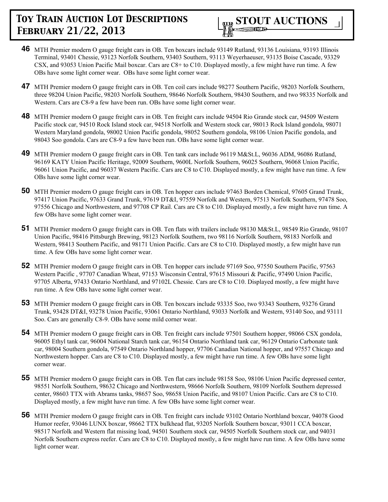- **46** MTH Premier modern O gauge freight cars in OB. Ten boxcars include 93149 Rutland, 93136 Louisiana, 93193 Illinois Terminal, 93401 Chessie, 93123 Norfolk Southern, 93403 Southern, 93113 Weyerhaeuser, 93135 Boise Cascade, 93329 CSX, and 93053 Union Pacific Mail boxcar. Cars are C8+ to C10. Displayed mostly, a few might have run time. A few OBs have some light corner wear. OBs have some light corner wear.
- **47** MTH Premier modern O gauge freight cars in OB. Ten coil cars include 98277 Southern Pacific, 98203 Norfolk Southern, three 98204 Union Pacific, 98203 Norfolk Southern, 98646 Norfolk Southern, 98430 Southern, and two 98335 Norfolk and Western. Cars are C8-9 a few have been run. OBs have some light corner wear.
- **48** MTH Premier modern O gauge freight cars in OB. Ten freight cars include 94504 Rio Grande stock car, 94509 Western Pacific stock car, 94510 Rock Island stock car, 94518 Norfolk and Western stock car, 98013 Rock Island gondola, 98071 Western Maryland gondola, 98002 Union Pacific gondola, 98052 Southern gondola, 98106 Union Pacific gondola, and 98043 Soo gondola. Cars are C8-9 a few have been run. OBs have some light corner wear.
- **49** MTH Premier modern O gauge freight cars in OB. Ten tank cars include 96119 M&St.L, 96036 ADM, 96086 Rutland, 96169 KATY Union Pacific Heritage, 92009 Southern, 9600L Norfolk Southern, 96025 Southern, 96068 Union Pacific, 96061 Union Pacific, and 96037 Western Pacific. Cars are C8 to C10. Displayed mostly, a few might have run time. A few OBs have some light corner wear.
- **50** MTH Premier modern O gauge freight cars in OB. Ten hopper cars include 97463 Borden Chemical, 97605 Grand Trunk, 97417 Union Pacific, 97633 Grand Trunk, 97619 DT&I, 97559 Norfolk and Western, 97513 Norfolk Southern, 97478 Soo, 97556 Chicago and Northwestern, and 97708 CP Rail. Cars are C8 to C10. Displayed mostly, a few might have run time. A few OBs have some light corner wear.
- **51** MTH Premier modern O gauge freight cars in OB. Ten flats with trailers include 98130 M&St.L, 98549 Rio Grande, 98107 Union Pacific, 98416 Pittsburgh Brewing, 98123 Norfolk Southern, two 98116 Norfolk Southern, 98183 Norfolk and Western, 98413 Southern Pacific, and 98171 Union Pacific. Cars are C8 to C10. Displayed mostly, a few might have run time. A few OBs have some light corner wear.
- **52** MTH Premier modern O gauge freight cars in OB. Ten hopper cars include 97169 Soo, 97550 Southern Pacific, 97563 Western Pacific , 97707 Canadian Wheat, 97153 Wisconsin Central, 97615 Missouri & Pacific, 97490 Union Pacific, 97705 Alberta, 97433 Ontario Northland, and 97102L Chessie. Cars are C8 to C10. Displayed mostly, a few might have run time. A few OBs have some light corner wear.
- **53** MTH Premier modern O gauge freight cars in OB. Ten boxcars include 93335 Soo, two 93343 Southern, 93276 Grand Trunk, 93428 DT&I, 93278 Union Pacific, 93061 Ontario Northland, 93033 Norfolk and Western, 93140 Soo, and 93111 Soo. Cars are generally C8-9. OBs have some mild corner wear.
- **54** MTH Premier modern O gauge freight cars in OB. Ten freight cars include 97501 Southern hopper, 98066 CSX gondola, 96005 Ethyl tank car, 96004 National Starch tank car, 96154 Ontario Northland tank car, 96129 Ontario Carbonate tank car, 98004 Southern gondola, 97549 Ontario Northland hopper, 97706 Canadian National hopper, and 97557 Chicago and Northwestern hopper. Cars are C8 to C10. Displayed mostly, a few might have run time. A few OBs have some light corner wear.
- **55** MTH Premier modern O gauge freight cars in OB. Ten flat cars include 98158 Soo, 98106 Union Pacific depressed center, 98551 Norfolk Southern, 98632 Chicago and Northwestern, 98666 Norfolk Southern, 98109 Norfolk Southern depressed center, 98603 TTX with Abrams tanks, 98657 Soo, 98658 Union Pacific, and 98107 Union Pacific. Cars are C8 to C10. Displayed mostly, a few might have run time. A few OBs have some light corner wear.
- **56** MTH Premier modern O gauge freight cars in OB. Ten freight cars include 93102 Ontario Northland boxcar, 94078 Good Humor reefer, 93046 LUNX boxcar, 98662 TTX bulkhead flat, 93205 Norfolk Southern boxcar, 93011 CCA boxcar, 98517 Norfolk and Western flat missing load, 94501 Southern stock car, 94505 Norfolk Southern stock car, and 94031 Norfolk Southern express reefer. Cars are C8 to C10. Displayed mostly, a few might have run time. A few OBs have some light corner wear.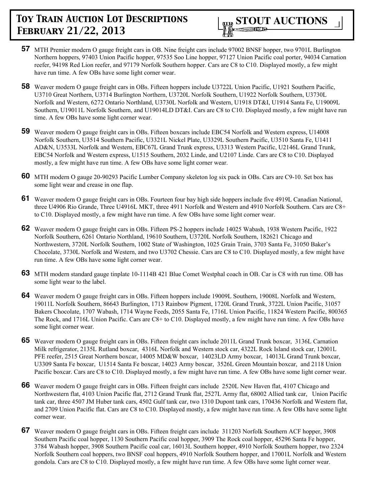

- **57** MTH Premier modern O gauge freight cars in OB. Nine freight cars include 97002 BNSF hopper, two 9701L Burlington Northern hoppers, 97403 Union Pacific hopper, 97535 Soo Line hopper, 97127 Union Pacific coal porter, 94034 Carnation reefer, 94198 Red Lion reefer, and 97179 Norfolk Southern hopper. Cars are C8 to C10. Displayed mostly, a few might have run time. A few OBs have some light corner wear.
- **58** Weaver modern O gauge freight cars in OBs. Fifteen hoppers include U3722L Union Pacific, U1921 Southern Pacific, U3710 Great Northern, U3714 Burlington Northern, U3720L Norfolk Southern, U1922 Norfolk Southern, U3730L Norfolk and Western, 6272 Ontario Northland, U3730L Norfolk and Western, U1918 DT&I, U1914 Santa Fe, U19009L Southern, U19011L Norfolk Southern, and U19014LD DT&I. Cars are C8 to C10. Displayed mostly, a few might have run time. A few OBs have some light corner wear.
- **59** Weaver modern O gauge freight cars in OBs. Fifteen boxcars include EBC54 Norfolk and Western express, U14008 Norfolk Southern, U3514 Southern Pacific, U3321L Nickel Plate, U3329L Southern Pacific, U3510 Santa Fe, U1411 AD&N, U3533L Norfolk and Western, EBC67L Grand Trunk express, U3313 Western Pacific, U2146L Grand Trunk, EBC54 Norfolk and Western express, U1515 Southern, 2032 Linde, and U2107 Linde. Cars are C8 to C10. Displayed mostly, a few might have run time. A few OBs have some light corner wear.
- **60** MTH modern O gauge 20-90293 Pacific Lumber Company skeleton log six pack in OBs. Cars are C9-10. Set box has some light wear and crease in one flap.
- **61** Weaver modern O gauge freight cars in OBs. Fourteen four bay high side hoppers include five 4919L Canadian National, three U4906 Rio Grande, Three U4916L MKT, three 4911 Norfolk and Western and 4910 Norfolk Southern. Cars are C8+ to C10. Displayed mostly, a few might have run time. A few OBs have some light corner wear.
- **62** Weaver modern O gauge freight cars in OBs. Fifteen PS-2 hoppers include 14025 Wabash, 1938 Western Pacific, 1922 Norfolk Southern, 6261 Ontario Northland, 19610 Southern, U3720L Norfolk Southern, 182621 Chicago and Northwestern, 3720L Norfolk Southern, 1002 State of Washington, 1025 Grain Train, 3703 Santa Fe, 31050 Baker's Chocolate, 3730L Norfolk and Western, and two U3702 Chessie. Cars are C8 to C10. Displayed mostly, a few might have run time. A few OBs have some light corner wear.
- **63** MTH modern standard gauge tinplate 10-1114B 421 Blue Comet Westphal coach in OB. Car is C8 with run time. OB has some light wear to the label.
- **64** Weaver modern O gauge freight cars in OBs. Fifteen hoppers include 19009L Southern, 19008L Norfolk and Western, 19011L Norfolk Southern, 86643 Burlington, 1713 Rainbow Pigment, 1720L Grand Trunk, 3722L Union Pacific, 31057 Bakers Chocolate, 1707 Wabash, 1714 Wayne Feeds, 2055 Santa Fe, 1716L Union Pacific, 11824 Western Pacific, 800365 The Rock, and 1716L Union Pacific. Cars are C8+ to C10. Displayed mostly, a few might have run time. A few OBs have some light corner wear.
- **65** Weaver modern O gauge freight cars in OBs. Fifteen freight cars include 2011L Grand Trunk boxcar, 3136L Carnation Milk refrigerator, 2135L Rutland boxcar, 4316L Norfolk and Western stock car, 4322L Rock Island stock car, 12001L PFE reefer, 2515 Great Northern boxcar, 14005 MD&W boxcar, 14023LD Army boxcar, 14013L Grand Trunk boxcar, U3309 Santa Fe boxcar, U1514 Santa Fe boxcar, 14023 Army boxcar, 3526L Green Mountain boxcar, and 2118 Union Pacific boxcar. Cars are C8 to C10. Displayed mostly, a few might have run time. A few OBs have some light corner wear.
- **66** Weaver modern O gauge freight cars in OBs. Fifteen freight cars include 2520L New Haven flat, 4107 Chicago and Northwestern flat, 4103 Union Pacific flat, 2712 Grand Trunk flat, 2527L Army flat, 68002 Allied tank car, Union Pacific tank car, three 4507 JM Huber tank cars, 4502 Gulf tank car, two 1310 Dupont tank cars, 170436 Norfolk and Western flat, and 2709 Union Pacific flat. Cars are C8 to C10. Displayed mostly, a few might have run time. A few OBs have some light corner wear.
- **67** Weaver modern O gauge freight cars in OBs. Fifteen freight cars include 311203 Norfolk Southern ACF hopper, 3908 Southern Pacific coal hopper, 1130 Southern Pacific coal hopper, 3909 The Rock coal hopper, 45296 Santa Fe hopper, 3784 Wabash hopper, 3908 Southern Pacific coal car, 16013L Southern hopper, 4910 Norfolk Southern hopper, two 2324 Norfolk Southern coal hoppers, two BNSF coal hoppers, 4910 Norfolk Southern hopper, and 17001L Norfolk and Western gondola. Cars are C8 to C10. Displayed mostly, a few might have run time. A few OBs have some light corner wear.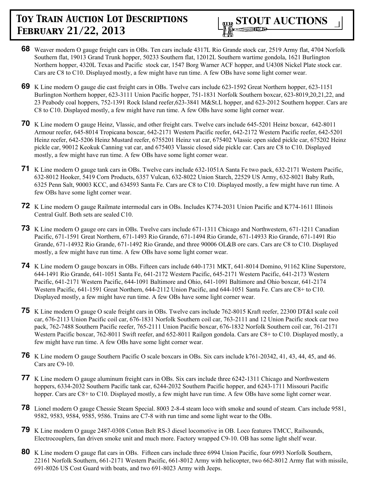

- **68** Weaver modern O gauge freight cars in OBs. Ten cars include 4317L Rio Grande stock car, 2519 Army flat, 4704 Norfolk Southern flat, 19013 Grand Trunk hopper, 50233 Southern flat, 12012L Southern wartime gondola, 1621 Burlington Northern hopper, 4320L Texas and Pacific stock car, 1547 Borg Warner ACF hopper, and U4308 Nickel Plate stock car. Cars are C8 to C10. Displayed mostly, a few might have run time. A few OBs have some light corner wear.
- **69** K Line modern O gauge die cast freight cars in OBs. Twelve cars include 623-1592 Great Northern hopper, 623-1151 Burlington Northern hopper, 623-3111 Union Pacific hopper, 751-1831 Norfolk Southern boxcar, 623-8019,20,21,22, and 23 Peabody coal hoppers, 752-1391 Rock Island reefer,623-3841 M&St.L hopper, and 623-2012 Southern hopper. Cars are C8 to C10. Displayed mostly, a few might have run time. A few OBs have some light corner wear.
- **70** K Line modern O gauge Heinz, Vlassic, and other freight cars. Twelve cars include 645-5201 Heinz boxcar, 642-8011 Armour reefer, 645-8014 Tropicana boxcar, 642-2171 Western Pacific reefer, 642-2172 Western Pacific reefer, 642-5201 Heinz reefer, 642-5206 Heinz Mustard reefer, 6755201 Heinz vat car, 675402 Vlassic open sided pickle car, 675202 Heinz pickle car, 90012 Keokuk Canning vat car, and 675403 Vlassic closed side pickle car. Cars are C8 to C10. Displayed mostly, a few might have run time. A few OBs have some light corner wear.
- **71** K Line modern O gauge tank cars in OBs. Twelve cars include 632-1051A Santa Fe two pack, 632-2171 Western Pacific, 632-8012 Hooker, 5419 Corn Products, 6357 Vulcan, 632-8022 Union Starch, 22529 US Army, 632-8021 Baby Ruth, 6325 Penn Salt, 90003 KCC, and 634593 Santa Fe. Cars are C8 to C10. Displayed mostly, a few might have run time. A few OBs have some light corner wear.
- **72** K Line modern O gauge Railmate intermodal cars in OBs. Includes K774-2031 Union Pacific and K774-1611 Illinois Central Gulf. Both sets are sealed C10.
- **73** K Line modern O gauge ore cars in OBs. Twelve cars include 671-1311 Chicago and Northwestern, 671-1211 Canadian Pacific, 671-1591 Great Northern, 671-1493 Rio Grande, 671-1494 Rio Grande, 671-14933 Rio Grande, 671-1491 Rio Grande, 671-14932 Rio Grande, 671-1492 Rio Grande, and three 90006 OL&B ore cars. Cars are C8 to C10. Displayed mostly, a few might have run time. A few OBs have some light corner wear.
- **74** K Line modern O gauge boxcars in OBs. Fifteen cars include 640-1731 MKT, 641-8014 Domino, 91162 Kline Superstore, 644-1491 Rio Grande, 641-1051 Santa Fe, 641-2172 Western Pacific, 645-2171 Western Pacific, 641-2173 Western Pacific, 641-2171 Western Pacific, 644-1091 Baltimore and Ohio, 641-1091 Baltimore and Ohio boxcar, 641-2174 Western Pacific, 641-1591 Great Northern, 644-2112 Union Pacific, and 644-1051 Santa Fe. Cars are C8+ to C10. Displayed mostly, a few might have run time. A few OBs have some light corner wear.
- **75** K Line modern O gauge O scale freight cars in OBs. Twelve cars include 762-8015 Kraft reefer, 22300 DT&I scale coil car, 676-2113 Union Pacific coil car, 676-1831 Norfolk Southern coil car, 763-2111 and 12 Union Pacific stock car two pack, 762-7488 Southern Pacific reefer, 765-2111 Union Pacific boxcar, 676-1832 Norfolk Southern coil car, 761-2171 Western Pacific boxcar, 762-8011 Swift reefer, and 652-8011 Railgon gondola. Cars are C8+ to C10. Displayed mostly, a few might have run time. A few OBs have some light corner wear.
- **76** K Line modern O gauge Southern Pacific O scale boxcars in OBs. Six cars include k761-20342, 41, 43, 44, 45, and 46. Cars are C9-10.
- **77** K Line modern O gauge aluminum freight cars in OBs. Six cars include three 6242-1311 Chicago and Northwestern hoppers, 6334-2032 Southern Pacific tank car, 6244-2032 Southern Pacific hopper, and 6243-1711 Missouri Pacific hopper. Cars are C8+ to C10. Displayed mostly, a few might have run time. A few OBs have some light corner wear.
- **78** Lionel modern O gauge Chessie Steam Special. 8003 2-8-4 steam loco with smoke and sound of steam. Cars include 9581, 9582, 9583, 9584, 9585, 9586. Trains are C7-8 with run time and some light wear to the OBs.
- **79** K Line modern O gauge 2487-0308 Cotton Belt RS-3 diesel locomotive in OB. Loco features TMCC, Railsounds, Electrocouplers, fan driven smoke unit and much more. Factory wrapped C9-10. OB has some light shelf wear.
- **80** K Line modern O gauge flat cars in OBs. Fifteen cars include three 6994 Union Pacific, four 6993 Norfolk Southern, 22161 Norfolk Southern, 661-2171 Western Pacific, 661-8012 Army with helicopter, two 662-8012 Army flat with missile, 691-8026 US Cost Guard with boats, and two 691-8023 Army with Jeeps.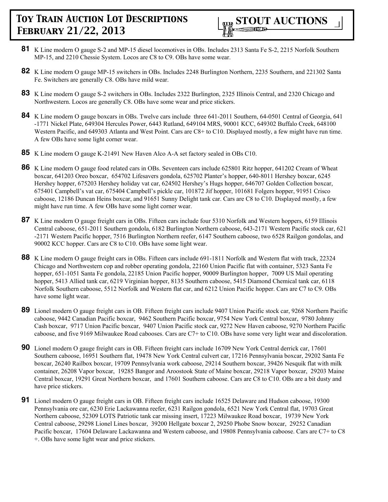

- **81** K Line modern O gauge S-2 and MP-15 diesel locomotives in OBs. Includes 2313 Santa Fe S-2, 2215 Norfolk Southern MP-15, and 2210 Chessie System. Locos are C8 to C9. OBs have some wear.
- **82** K Line modern O gauge MP-15 switchers in OBs. Includes 2248 Burlington Northern, 2235 Southern, and 221302 Santa Fe. Switchers are generally C8. OBs have mild wear.
- **83** K Line modern O gauge S-2 switchers in OBs. Includes 2322 Burlington, 2325 Illinois Central, and 2320 Chicago and Northwestern. Locos are generally C8. OBs have some wear and price stickers.
- **84** K Line modern O gauge boxcars in OBs. Twelve cars include three 641-2011 Southern, 64-0501 Central of Georgia, 641 -1771 Nickel Plate, 649304 Hercules Power, 6443 Rutland, 649104 MRS, 90001 KCC, 649302 Buffalo Creek, 648100 Western Pacific, and 649303 Atlanta and West Point. Cars are C8+ to C10. Displayed mostly, a few might have run time. A few OBs have some light corner wear.
- **85** K Line modern O gauge K-21491 New Haven Alco A-A set factory sealed in OBs C10.
- **86** K Line modern O gauge food related cars in OBs. Seventeen cars include 625801 Ritz hopper, 641202 Cream of Wheat boxcar, 641203 Oreo boxcar, 654702 Lifesavers gondola, 625702 Planter's hopper, 640-8011 Hershey boxcar, 6245 Hershey hopper, 675203 Hershey holiday vat car, 624502 Hershey's Hugs hopper, 646707 Golden Collection boxcar, 675401 Campbell's vat car, 675404 Campbell's pickle car, 101872 Jif hopper, 101681 Folgers hopper, 91951 Crisco caboose, 12186 Duncan Heins boxcar, and 91651 Sunny Delight tank car. Cars are C8 to C10. Displayed mostly, a few might have run time. A few OBs have some light corner wear.
- **87** K Line modern O gauge freight cars in OBs. Fifteen cars include four 5310 Norfolk and Western hoppers, 6159 Illinois Central caboose, 651-2011 Southern gondola, 6182 Burlington Northern caboose, 643-2171 Western Pacific stock car, 621 -2171 Western Pacific hopper, 7516 Burlington Northern reefer, 6147 Southern caboose, two 6528 Railgon gondolas, and 90002 KCC hopper. Cars are C8 to C10. OBs have some light wear.
- **88** K Line modern O gauge freight cars in OBs. Fifteen cars include 691-1811 Norfolk and Western flat with track, 22324 Chicago and Northwestern cop and robber operating gondola, 22160 Union Pacific flat with container, 5323 Santa Fe hopper, 651-1051 Santa Fe gondola, 22185 Union Pacific hopper, 90009 Burlington hopper, 7009 US Mail operating hopper, 5413 Allied tank car, 6219 Virginian hopper, 8135 Southern caboose, 5415 Diamond Chemical tank car, 6118 Norfolk Southern caboose, 5512 Norfolk and Western flat car, and 6212 Union Pacific hopper. Cars are C7 to C9. OBs have some light wear.
- **89** Lionel modern O gauge freight cars in OB. Fifteen freight cars include 9407 Union Pacific stock car, 9268 Northern Pacific caboose, 9442 Canadian Pacific boxcar, 9462 Southern Pacific boxcar, 9754 New York Central boxcar, 9780 Johnny Cash boxcar, 9717 Union Pacific boxcar, 9407 Union Pacific stock car, 9272 New Haven caboose, 9270 Northern Pacific caboose, and five 9169 Milwaukee Road cabooses. Cars are C7+ to C10. OBs have some very light wear and discoloration.
- **90** Lionel modern O gauge freight cars in OB. Fifteen freight cars include 16709 New York Central derrick car, 17601 Southern caboose, 16951 Southern flat, 19478 New York Central culvert car, 17216 Pennsylvania boxcar, 29202 Santa Fe boxcar, 26240 Railbox boxcar, 19709 Pennsylvania work caboose, 29214 Southern boxcar, 39426 Nesquik flat with milk container, 26208 Vapor boxcar, 19285 Bangor and Aroostook State of Maine boxcar, 29218 Vapor boxcar, 29203 Maine Central boxcar, 19291 Great Northern boxcar, and 17601 Southern caboose. Cars are C8 to C10. OBs are a bit dusty and have price stickers.
- **91** Lionel modern O gauge freight cars in OB. Fifteen freight cars include 16525 Delaware and Hudson caboose, 19300 Pennsylvania ore car, 6230 Erie Lackawanna reefer, 6231 Railgon gondola, 6521 New York Central flat, 19703 Great Northern caboose, 52309 LOTS Patriotic tank car missing insert, 17223 Milwaukee Road boxcar, 19739 New York Central caboose, 29298 Lionel Lines boxcar, 39200 Hellgate boxcar 2, 29250 Phobe Snow boxcar, 29252 Canadian Pacific boxcar, 17604 Delaware Lackawanna and Western caboose, and 19808 Pennsylvania caboose. Cars are C7+ to C8 +. OBs have some light wear and price stickers.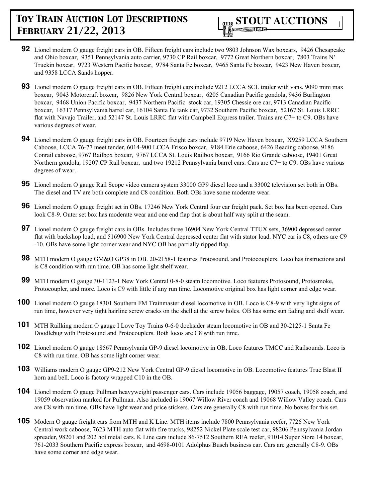

- **92** Lionel modern O gauge freight cars in OB. Fifteen freight cars include two 9803 Johnson Wax boxcars, 9426 Chesapeake and Ohio boxcar, 9351 Pennsylvania auto carrier, 9730 CP Rail boxcar, 9772 Great Northern boxcar, 7803 Trains N' Truckin boxcar, 9723 Western Pacific boxcar, 9784 Santa Fe boxcar, 9465 Santa Fe boxcar, 9423 New Haven boxcar, and 9358 LCCA Sands hopper.
- **93** Lionel modern O gauge freight cars in OB. Fifteen freight cars include 9212 LCCA SCL trailer with vans, 9090 mini max boxcar, 9043 Motorcraft boxcar, 9826 New York Central boxcar, 6205 Canadian Pacific gondola, 9436 Burlington boxcar, 9468 Union Pacific boxcar, 9437 Northern Pacific stock car, 19305 Chessie ore car, 9713 Canadian Pacific boxcar, 16317 Pennsylvania barrel car, 16104 Santa Fe tank car, 9732 Southern Pacific boxcar, 52167 St. Louis LRRC flat with Navajo Trailer, and 52147 St. Louis LRRC flat with Campbell Express trailer. Trains are C7+ to C9. OBs have various degrees of wear.
- **94** Lionel modern O gauge freight cars in OB. Fourteen freight cars include 9719 New Haven boxcar, X9259 LCCA Southern Caboose, LCCA 76-77 meet tender, 6014-900 LCCA Frisco boxcar, 9184 Erie caboose, 6426 Reading caboose, 9186 Conrail caboose, 9767 Railbox boxcar, 9767 LCCA St. Louis Railbox boxcar, 9166 Rio Grande caboose, 19401 Great Northern gondola, 19207 CP Rail boxcar, and two 19212 Pennsylvania barrel cars. Cars are C7+ to C9. OBs have various degrees of wear.
- **95** Lionel modern O gauge Rail Scope video camera system 33000 GP9 diesel loco and a 33002 television set both in OBs. The diesel and TV are both complete and C8 condition. Both OBs have some moderate wear.
- **96** Lionel modern O gauge freight set in OBs. 17246 New York Central four car freight pack. Set box has been opened. Cars look C8-9. Outer set box has moderate wear and one end flap that is about half way split at the seam.
- **97** Lionel modern O gauge freight cars in OBs. Includes three 16904 New York Central TTUX sets, 36900 depressed center flat with backshop load, and 516900 New York Central depressed center flat with stator load. NYC car is C8, others are C9 -10. OBs have some light corner wear and NYC OB has partially ripped flap.
- **98** MTH modern O gauge GM&O GP38 in OB. 20-2158-1 features Protosound, and Protocouplers. Loco has instructions and is C8 condition with run time. OB has some light shelf wear.
- **99** MTH modern O gauge 30-1123-1 New York Central 0-8-0 steam locomotive. Loco features Protosound, Protosmoke, Protocoupler, and more. Loco is C9 with little if any run time. Locomotive original box has light corner and edge wear.
- **100** Lionel modern O gauge 18301 Southern FM Trainmaster diesel locomotive in OB. Loco is C8-9 with very light signs of run time, however very tight hairline screw cracks on the shell at the screw holes. OB has some sun fading and shelf wear.
- **101** MTH Railking modern O gauge I Love Toy Trains 0-6-0 docksider steam locomotive in OB and 30-2125-1 Santa Fe Doodlebug with Protosound and Protocouplers. Both locos are C8 with run time.
- **102** Lionel modern O gauge 18567 Pennsylvania GP-9 diesel locomotive in OB. Loco features TMCC and Railsounds. Loco is C8 with run time. OB has some light corner wear.
- **103** Williams modern O gauge GP9-212 New York Central GP-9 diesel locomotive in OB. Locomotive features True Blast II horn and bell. Loco is factory wrapped C10 in the OB.
- **104** Lionel modern O gauge Pullman heavyweight passenger cars. Cars include 19056 baggage, 19057 coach, 19058 coach, and 19059 observation marked for Pullman. Also included is 19067 Willow River coach and 19068 Willow Valley coach. Cars are C8 with run time. OBs have light wear and price stickers. Cars are generally C8 with run time. No boxes for this set.
- **105** Modern O gauge freight cars from MTH and K Line. MTH items include 7800 Pennsylvania reefer, 7726 New York Central work caboose, 7623 MTH auto flat with fire trucks, 98252 Nickel Plate scale test car, 98206 Pennsylvania Jordan spreader, 98201 and 202 hot metal cars. K Line cars include 86-7512 Southern REA reefer, 91014 Super Store 14 boxcar, 761-2033 Southern Pacific express boxcar, and 4698-0101 Adolphus Busch business car. Cars are generally C8-9. OBs have some corner and edge wear.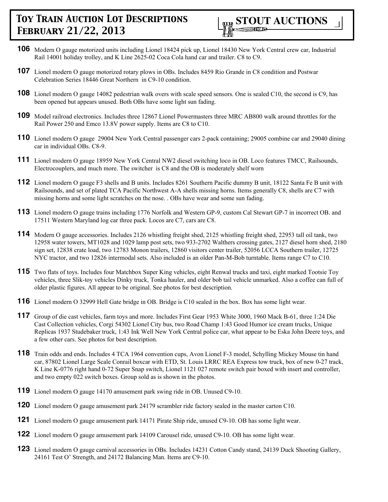

- **106** Modern O gauge motorized units including Lionel 18424 pick up, Lionel 18430 New York Central crew car, Industrial Rail 14001 holiday trolley, and K Line 2625-02 Coca Cola hand car and trailer. C8 to C9.
- **107** Lionel modern O gauge motorized rotary plows in OBs. Includes 8459 Rio Grande in C8 condition and Postwar Celebration Series 18446 Great Northern in C9-10 condition.
- **108** Lionel modern O gauge 14082 pedestrian walk overs with scale speed sensors. One is sealed C10, the second is C9, has been opened but appears unused. Both OBs have some light sun fading.
- **109** Model railroad electronics. Includes three 12867 Lionel Powermasters three MRC AB800 walk around throttles for the Rail Power 250 and Emco 13.8V power supply. Items are C8 to C10.
- **110** Lionel modern O gauge 29004 New York Central passenger cars 2-pack containing; 29005 combine car and 29040 dining car in individual OBs. C8-9.
- **111** Lionel modern O gauge 18959 New York Central NW2 diesel switching loco in OB. Loco features TMCC, Railsounds, Electrocouplers, and much more. The switcher is C8 and the OB is moderately shelf worn
- **112** Lionel modern O gauge F3 shells and B units. Includes 8261 Southern Pacific dummy B unit, 18122 Santa Fe B unit with Railsounds, and set of plated TCA Pacific Northwest A-A shells missing horns. Items generally C8, shells are C7 with missing horns and some light scratches on the nose. . OBs have wear and some sun fading.
- **113** Lionel modern O gauge trains including 1776 Norfolk and Western GP-9, custom Cal Stewart GP-7 in incorrect OB. and 17511 Western Maryland log car three pack. Locos are C7, cars are C8.
- **114** Modern O gauge accessories. Includes 2126 whistling freight shed, 2125 whistling freight shed, 22953 tall oil tank, two 12958 water towers, MT1028 and 1029 lamp post sets, two 933-2702 Walthers crossing gates, 2127 diesel horn shed, 2180 sign set, 12838 crate load, two 12783 Monon trailers, 12860 visitors center trailer, 52056 LCCA Southern trailer, 12725 NYC tractor, and two 12826 intermodal sets. Also included is an older Pan-M-Bob turntable. Items range C7 to C10.
- **115** Two flats of toys. Includes four Matchbox Super King vehicles, eight Renwal trucks and taxi, eight marked Tootsie Toy vehicles, three Slik-toy vehicles Dinky truck, Tonka hauler, and older bob tail vehicle unmarked. Also a coffee can full of older plastic figures. All appear to be original. See photos for best description.
- **116** Lionel modern O 32999 Hell Gate bridge in OB. Bridge is C10 sealed in the box. Box has some light wear.
- **117** Group of die cast vehicles, farm toys and more. Includes First Gear 1953 White 3000, 1960 Mack B-61, three 1:24 Die Cast Collection vehicles, Corgi 54302 Lionel City bus, two Road Champ 1:43 Good Humor ice cream trucks, Unique Replicas 1937 Studebaker truck, 1:43 Ink Well New York Central police car, what appear to be Eska John Deere toys, and a few other cars. See photos for best description.
- **118** Train odds and ends. Includes 4 TCA 1964 convention cups, Avon Lionel F-3 model, Schylling Mickey Mouse tin hand car, 87802 Lionel Large Scale Conrail boxcar with ETD, St. Louis LRRC REA Express tow truck, box of new 0-27 track, K Line K-0776 right hand 0-72 Super Snap switch, Lionel 1121 027 remote switch pair boxed with insert and controller, and two empty 022 switch boxes. Group sold as is shown in the photos.
- **119** Lionel modern O gauge 14170 amusement park swing ride in OB. Unused C9-10.
- **120** Lionel modern O gauge amusement park 24179 scrambler ride factory sealed in the master carton C10.
- **121** Lionel modern O gauge amusement park 14171 Pirate Ship ride, unused C9-10. OB has some light wear.
- **122** Lionel modern O gauge amusement park 14109 Carousel ride, unused C9-10. OB has some light wear.
- **123** Lionel modern O gauge carnival accessories in OBs. Includes 14231 Cotton Candy stand, 24139 Duck Shooting Gallery, 24161 Test O' Strength, and 24172 Balancing Man. Items are C9-10.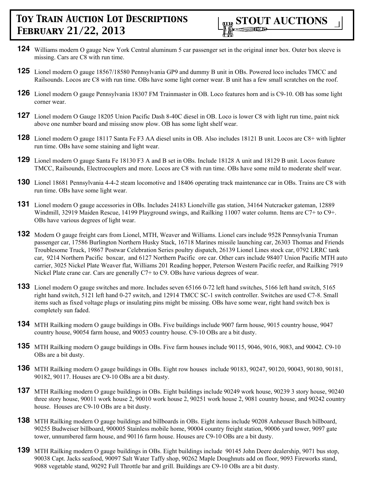- **124** Williams modern O gauge New York Central aluminum 5 car passenger set in the original inner box. Outer box sleeve is missing. Cars are C8 with run time.
- **125** Lionel modern O gauge 18567/18580 Pennsylvania GP9 and dummy B unit in OBs. Powered loco includes TMCC and Railsounds. Locos are C8 with run time. OBs have some light corner wear. B unit has a few small scratches on the roof.
- **126** Lionel modern O gauge Pennsylvania 18307 FM Trainmaster in OB. Loco features horn and is C9-10. OB has some light corner wear.
- **127** Lionel modern O Gauge 18205 Union Pacific Dash 8-40C diesel in OB. Loco is lower C8 with light run time, paint nick above one number board and missing snow plow. OB has some light shelf wear.
- **128** Lionel modern O gauge 18117 Santa Fe F3 AA diesel units in OB. Also includes 18121 B unit. Locos are C8+ with lighter run time. OBs have some staining and light wear.
- **129** Lionel modern O gauge Santa Fe 18130 F3 A and B set in OBs. Include 18128 A unit and 18129 B unit. Locos feature TMCC, Railsounds, Electrocouplers and more. Locos are C8 with run time. OBs have some mild to moderate shelf wear.
- **130** Lionel 18681 Pennsylvania 4-4-2 steam locomotive and 18406 operating track maintenance car in OBs. Trains are C8 with run time. OBs have some light wear.
- **131** Lionel modern O gauge accessories in OBs. Includes 24183 Lionelville gas station, 34164 Nutcracker gateman, 12889 Windmill, 32919 Maiden Rescue, 14199 Playground swings, and Railking 11007 water column. Items are C7+ to C9+. OBs have various degrees of light wear.
- **132** Modern O gauge freight cars from Lionel, MTH, Weaver and Williams. Lionel cars include 9528 Pennsylvania Truman passenger car, 17586 Burlington Northern Husky Stack, 16718 Marines missile launching car, 26303 Thomas and Friends Troublesome Truck, 19867 Postwar Celebration Series poultry dispatch, 26139 Lionel Lines stock car, 0792 LRRC tank car, 9214 Northern Pacific boxcar, and 6127 Northern Pacific ore car. Other cars include 98407 Union Pacific MTH auto carrier, 3025 Nickel Plate Weaver flat, Williams 201 Reading hopper, Peterson Western Pacific reefer, and Railking 7919 Nickel Plate crane car. Cars are generally C7+ to C9. OBs have various degrees of wear.
- **133** Lionel modern O gauge switches and more. Includes seven 65166 0-72 left hand switches, 5166 left hand switch, 5165 right hand switch, 5121 left hand 0-27 switch, and 12914 TMCC SC-1 switch controller. Switches are used C7-8. Small items such as fixed voltage plugs or insulating pins might be missing. OBs have some wear, right hand switch box is completely sun faded.
- **134** MTH Railking modern O gauge buildings in OBs. Five buildings include 9007 farm house, 9015 country house, 9047 country house, 90054 farm house, and 90053 country house. C9-10 OBs are a bit dusty.
- **135** MTH Railking modern O gauge buildings in OBs. Five farm houses include 90115, 9046, 9016, 9083, and 90042. C9-10 OBs are a bit dusty.
- **136** MTH Railking modern O gauge buildings in OBs. Eight row houses include 90183, 90247, 90120, 90043, 90180, 90181, 90182, 90117. Houses are C9-10 OBs are a bit dusty.
- **137** MTH Railking modern O gauge buildings in OBs. Eight buildings include 90249 work house, 90239 3 story house, 90240 three story house, 90011 work house 2, 90010 work house 2, 90251 work house 2, 9081 country house, and 90242 country house. Houses are C9-10 OBs are a bit dusty.
- **138** MTH Railking modern O gauge buildings and billboards in OBs. Eight items include 90208 Anheuser Busch billboard, 90255 Budweiser billboard, 900005 Stainless mobile home, 90004 country freight station, 90006 yard tower, 9097 gate tower, unnumbered farm house, and 90116 farm house. Houses are C9-10 OBs are a bit dusty.
- **139** MTH Railking modern O gauge buildings in OBs. Eight buildings include 90145 John Deere dealership, 9071 bus stop, 90038 Capt. Jacks seafood, 90097 Salt Water Taffy shop, 90262 Maple Doughnuts add on floor, 9093 Fireworks stand, 9088 vegetable stand, 90292 Full Throttle bar and grill. Buildings are C9-10 OBs are a bit dusty.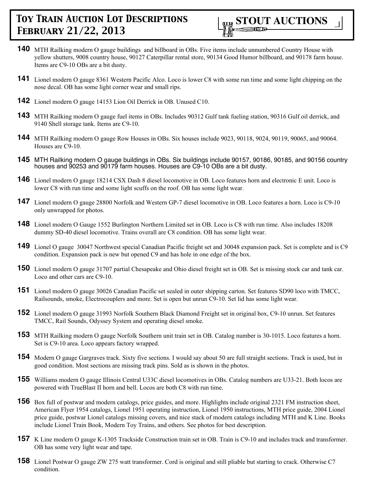

- **140** MTH Railking modern O gauge buildings and billboard in OBs. Five items include unnumbered Country House with yellow shutters, 9008 country house, 90127 Caterpillar rental store, 90134 Good Humor billboard, and 90178 farm house. Items are C9-10 OBs are a bit dusty.
- **141** Lionel modern O gauge 8361 Western Pacific Alco. Loco is lower C8 with some run time and some light chipping on the nose decal. OB has some light corner wear and small rips.
- **142** Lionel modern O gauge 14153 Lion Oil Derrick in OB. Unused C10.
- **143** MTH Railking modern O gauge fuel items in OBs. Includes 90312 Gulf tank fueling station, 90316 Gulf oil derrick, and 9140 Shell storage tank. Items are C9-10.
- **144** MTH Railking modern O gauge Row Houses in OBs. Six houses include 9023, 90118, 9024, 90119, 90065, and 90064. Houses are C9-10.
- **145** MTH Railking modern O gauge buildings in OBs. Six buildings include 90157, 90186, 90185, and 90156 country houses and 90253 and 90179 farm houses. Houses are C9-10 OBs are a bit dusty.
- **146** Lionel modern O gauge 18214 CSX Dash 8 diesel locomotive in OB. Loco features horn and electronic E unit. Loco is lower C8 with run time and some light scuffs on the roof. OB has some light wear.
- **147** Lionel modern O gauge 28800 Norfolk and Western GP-7 diesel locomotive in OB. Loco features a horn. Loco is C9-10 only unwrapped for photos.
- **148** Lionel modern O Gauge 1552 Burlington Northern Limited set in OB. Loco is C8 with run time. Also includes 18208 dummy SD-40 diesel locomotive. Trains overall are C8 condition. OB has some light wear.
- **149** Lionel O gauge 30047 Northwest special Canadian Pacific freight set and 30048 expansion pack. Set is complete and is C9 condition. Expansion pack is new but opened C9 and has hole in one edge of the box.
- **150** Lionel modern O gauge 31707 partial Chesapeake and Ohio diesel freight set in OB. Set is missing stock car and tank car. Loco and other cars are C9-10.
- **151** Lionel modern O gauge 30026 Canadian Pacific set sealed in outer shipping carton. Set features SD90 loco with TMCC, Railsounds, smoke, Electrocouplers and more. Set is open but unrun C9-10. Set lid has some light wear.
- **152** Lionel modern O gauge 31993 Norfolk Southern Black Diamond Freight set in original box, C9-10 unrun. Set features TMCC, Rail Sounds, Odyssey System and operating diesel smoke.
- **153** MTH Railking modern O gauge Norfolk Southern unit train set in OB. Catalog number is 30-1015. Loco features a horn. Set is C9-10 area. Loco appears factory wrapped.
- **154** Modern O gauge Gargraves track. Sixty five sections. I would say about 50 are full straight sections. Track is used, but in good condition. Most sections are missing track pins. Sold as is shown in the photos.
- **155** Williams modern O gauge Illinois Central U33C diesel locomotives in OBs. Catalog numbers are U33-21. Both locos are powered with TrueBlast II horn and bell. Locos are both C8 with run time.
- **156** Box full of postwar and modern catalogs, price guides, and more. Highlights include original 2321 FM instruction sheet, American Flyer 1954 catalogs, Lionel 1951 operating instruction, Lionel 1950 instructions, MTH price guide, 2004 Lionel price guide, postwar Lionel catalogs missing covers, and nice stack of modern catalogs including MTH and K Line. Books include Lionel Train Book, Modern Toy Trains, and others. See photos for best description.
- **157** K Line modern O gauge K-1305 Trackside Construction train set in OB. Train is C9-10 and includes track and transformer. OB has some very light wear and tape.
- **158** Lionel Postwar O gauge ZW 275 watt transformer. Cord is original and still pliable but starting to crack. Otherwise C7 condition.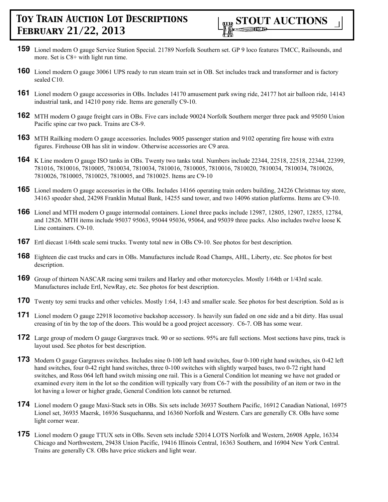

- **159** Lionel modern O gauge Service Station Special. 21789 Norfolk Southern set. GP 9 loco features TMCC, Railsounds, and more. Set is C8+ with light run time.
- **160** Lionel modern O gauge 30061 UPS ready to run steam train set in OB. Set includes track and transformer and is factory sealed C10.
- **161** Lionel modern O gauge accessories in OBs. Includes 14170 amusement park swing ride, 24177 hot air balloon ride, 14143 industrial tank, and 14210 pony ride. Items are generally C9-10.
- **162** MTH modern O gauge freight cars in OBs. Five cars include 90024 Norfolk Southern merger three pack and 95050 Union Pacific spine car two pack. Trains are C8-9.
- **163** MTH Railking modern O gauge accessories. Includes 9005 passenger station and 9102 operating fire house with extra figures. Firehouse OB has slit in window. Otherwise accessories are C9 area.
- **164** K Line modern O gauge ISO tanks in OBs. Twenty two tanks total. Numbers include 22344, 22518, 22518, 22344, 22399, 781016, 7810016, 7810005, 7810034, 7810034, 7810016, 7810005, 7810016, 7810020, 7810034, 7810034, 7810026, 7810026, 7810005, 7810025, 7810005, and 7810025. Items are C9-10
- **165** Lionel modern O gauge accessories in the OBs. Includes 14166 operating train orders building, 24226 Christmas toy store, 34163 speeder shed, 24298 Franklin Mutual Bank, 14255 sand tower, and two 14096 station platforms. Items are C9-10.
- **166** Lionel and MTH modern O gauge intermodal containers. Lionel three packs include 12987, 12805, 12907, 12855, 12784, and 12826. MTH items include 95037 95063, 95044 95036, 95064, and 95039 three packs. Also includes twelve loose K Line containers. C9-10.
- **167** Ertl diecast 1/64th scale semi trucks. Twenty total new in OBs C9-10. See photos for best description.
- **168** Eighteen die cast trucks and cars in OBs. Manufactures include Road Champs, AHL, Liberty, etc. See photos for best description.
- **169** Group of thirteen NASCAR racing semi trailers and Harley and other motorcycles. Mostly 1/64th or 1/43rd scale. Manufactures include Ertl, NewRay, etc. See photos for best description.
- **170** Twenty toy semi trucks and other vehicles. Mostly 1:64, 1:43 and smaller scale. See photos for best description. Sold as is
- **171** Lionel modern O gauge 22918 locomotive backshop accessory. Is heavily sun faded on one side and a bit dirty. Has usual creasing of tin by the top of the doors. This would be a good project accessory. C6-7. OB has some wear.
- **172** Large group of modern O gauge Gargraves track. 90 or so sections. 95% are full sections. Most sections have pins, track is layout used. See photos for best description.
- **173** Modern O gauge Gargraves switches. Includes nine 0-100 left hand switches, four 0-100 right hand switches, six 0-42 left hand switches, four 0-42 right hand switches, three 0-100 switches with slightly warped bases, two 0-72 right hand switches, and Ross 064 left hand switch missing one rail. This is a General Condition lot meaning we have not graded or examined every item in the lot so the condition will typically vary from C6-7 with the possibility of an item or two in the lot having a lower or higher grade, General Condition lots cannot be returned.
- **174** Lionel modern O gauge Maxi-Stack sets in OBs. Six sets include 36937 Southern Pacific, 16912 Canadian National, 16975 Lionel set, 36935 Maersk, 16936 Susquehanna, and 16360 Norfolk and Western. Cars are generally C8. OBs have some light corner wear.
- **175** Lionel modern O gauge TTUX sets in OBs. Seven sets include 52014 LOTS Norfolk and Western, 26908 Apple, 16334 Chicago and Northwestern, 29438 Union Pacific, 19416 Illinois Central, 16363 Southern, and 16904 New York Central. Trains are generally C8. OBs have price stickers and light wear.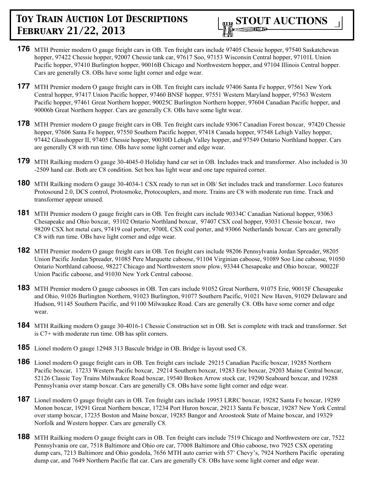

- **176** MTH Premier modern O gauge freight cars in OB. Ten freight cars include 97405 Chessie hopper, 97540 Saskatchewan hopper, 97422 Chessie hopper, 92007 Chessie tank car, 97617 Soo, 97153 Wisconsin Central hopper, 97101L Union Pacific hopper, 97410 Burlington hopper, 90016B Chicago and Northwestern hopper, and 97104 Illinois Central hopper. Cars are generally C8. OBs have some light corner and edge wear.
- **177** MTH Premier modern O gauge freight cars in OB. Ten freight cars include 97406 Santa Fe hopper, 97561 New York Central hopper, 97417 Union Pacific hopper, 97460 BNSF hopper, 97551 Western Maryland hopper, 97563 Western Pacific hopper, 97461 Great Northern hopper, 90025C Burlington Northern hopper, 97604 Canadian Pacific hopper, and 90006b Great Northern hopper. Cars are generally C8. OBs have some light wear.
- **178** MTH Premier modern O gauge freight cars in OB. Ten freight cars include 93067 Canadian Forest boxcar, 97420 Chessie hopper, 97606 Santa Fe hopper, 97550 Southern Pacific hopper, 97418 Canada hopper, 97548 Lehigh Valley hopper, 97442 Glasshopper II, 97405 Chessie hopper, 90030D Lehigh Valley hopper, and 97549 Ontario Northland hopper. Cars are generally C8 with run time. OBs have some light corner and edge wear.
- **179** MTH Railking modern O gauge 30-4045-0 Holiday hand car set in OB. Includes track and transformer. Also included is 30 -2509 hand car. Both are C8 condition. Set box has light wear and one tape repaired corner.
- **180** MTH Railking modern O gauge 30-4034-1 CSX ready to run set in OB/ Set includes track and transformer. Loco features Protosound 2.0, DCS control, Protosmoke, Protocouplers, and more. Trains are C8 with moderate run time. Track and transformer appear unused.
- **181** MTH Premier modern O gauge freight cars in OB. Ten freight cars include 90334C Canadian National hopper, 93063 Chesapeake and Ohio boxcar, 93102 Ontario Northland boxcar, 97407 CSX coal hopper, 93031 Chessie boxcar, two 98209 CSX hot metal cars, 97419 coal porter, 9700L CSX coal porter, and 93066 Netherlands boxcar. Cars are generally C8 with run time. OBs have light corner and edge wear.
- **182** MTH Premier modern O gauge freight cars in OB. Ten freight cars include 98206 Pennsylvania Jordan Spreader, 98205 Union Pacific Jordan Spreader, 91085 Pere Marquette caboose, 91104 Virginian caboose, 91089 Soo Line caboose, 91050 Ontario Northland caboose, 98227 Chicago and Northwestern snow plow, 93344 Chesapeake and Ohio boxcar, 90022F Union Pacific caboose, and 91030 New York Central caboose.
- **183** MTH Premier modern O gauge cabooses in OB. Ten cars include 91052 Great Northern, 91075 Erie, 90015F Chesapeake and Ohio, 91026 Burlington Northern, 91023 Burlington, 91077 Southern Pacific, 91021 New Haven, 91029 Delaware and Hudson, 91145 Southern Pacific, and 91100 Milwaukee Road. Cars are generally C8. OBs have some corner and edge wear.
- **184** MTH Railking modern O gauge 30-4016-1 Chessie Construction set in OB. Set is complete with track and transformer. Set is C7+ with moderate run time. OB has split corners.
- **185** Lionel modern O gauge 12948 313 Bascule bridge in OB. Bridge is layout used C8.
- **186** Lionel modern O gauge freight cars in OB. Ten freight cars include 29215 Canadian Pacific boxcar, 19285 Northern Pacific boxcar, 17233 Western Pacific boxcar, 29214 Southern boxcar, 19283 Erie boxcar, 29203 Maine Central boxcar, 52126 Classic Toy Trains Milwaukee Road boxcar, 19540 Broken Arrow stock car, 19290 Seaboard boxcar, and 19288 Pennsylvania over stamp boxcar. Cars are generally C8. OBs have some light corner and edge wear.
- **187** Lionel modern O gauge freight cars in OB. Ten freight cars include 19953 LRRC boxcar, 19282 Santa Fe boxcar, 19289 Monon boxcar, 19291 Great Northern boxcar, 17234 Port Huron boxcar, 29213 Santa Fe boxcar, 19287 New York Central over stamp boxcar, 17235 Boston and Maine boxcar, 19285 Bangor and Aroostook State of Maine boxcar, and 19329 Norfolk and Western hopper. Cars are generally C8.
- **188** MTH Railking modern O gauge freight cars in OB. Ten freight cars include 7519 Chicago and Northwestern ore car, 7522 Pennsylvania ore car, 7518 Baltimore and Ohio ore car, 77008 Baltimore and Ohio caboose, two 7925 CSX operating dump cars, 7213 Baltimore and Ohio gondola, 7656 MTH auto carrier with 57' Chevy's, 7924 Northern Pacific operating dump car, and 7649 Northern Pacific flat car. Cars are generally C8. OBs have some light corner and edge wear.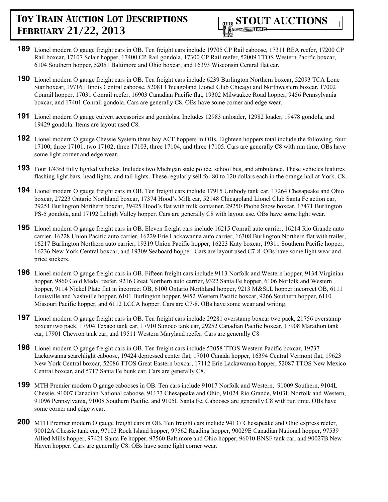

- **189** Lionel modern O gauge freight cars in OB. Ten freight cars include 19705 CP Rail caboose, 17311 REA reefer, 17200 CP Rail boxcar, 17107 Sclair hopper, 17400 CP Rail gondola, 17300 CP Rail reefer, 52009 TTOS Western Pacific boxcar, 6104 Southern hopper, 52051 Baltimore and Ohio boxcar, and 16393 Wisconsin Central flat car.
- **190** Lionel modern O gauge freight cars in OB. Ten freight cars include 6239 Burlington Northern boxcar, 52093 TCA Lone Star boxcar, 19716 Illinois Central caboose, 52081 Chicagoland Lionel Club Chicago and Northwestern boxcar, 17002 Conrail hopper, 17031 Conrail reefer, 16903 Canadian Pacific flat, 19302 Milwaukee Road hopper, 9456 Pennsylvania boxcar, and 17401 Conrail gondola. Cars are generally C8. OBs have some corner and edge wear.
- **191** Lionel modern O gauge culvert accessories and gondolas. Includes 12983 unloader, 12982 loader, 19478 gondola, and 19429 gondola. Items are layout used C8.
- **192** Lionel modern O gauge Chessie System three bay ACF hoppers in OBs. Eighteen hoppers total include the following, four 17100, three 17101, two 17102, three 17103, three 17104, and three 17105. Cars are generally C8 with run time. OBs have some light corner and edge wear.
- **193** Four 1/43rd fully lighted vehicles. Includes two Michigan state police, school bus, and ambulance. These vehicles features flashing light bars, head lights, and tail lights. These regularly sell for 80 to 120 dollars each in the orange hall at York. C8.
- **194** Lionel modern O gauge freight cars in OB. Ten freight cars include 17915 Unibody tank car, 17264 Chesapeake and Ohio boxcar, 27223 Ontario Northland boxcar, 17374 Hood's Milk car, 52148 Chicagoland Lionel Club Santa Fe action car, 29251 Burlington Northern boxcar, 39425 Hood's flat with milk container, 29250 Phobe Snow boxcar, 17471 Burlington PS-5 gondola, and 17192 Lehigh Valley hopper. Cars are generally C8 with layout use. OBs have some light wear.
- **195** Lionel modern O gauge freight cars in OB. Eleven freight cars include 16215 Conrail auto carrier, 16214 Rio Grande auto carrier, 16228 Union Pacific auto carrier, 16229 Erie Lackawanna auto carrier, 16308 Burlington Northern flat with trailer, 16217 Burlington Northern auto carrier, 19319 Union Pacific hopper, 16223 Katy boxcar, 19311 Southern Pacific hopper, 16236 New York Central boxcar, and 19309 Seaboard hopper. Cars are layout used C7-8. OBs have some light wear and price stickers.
- **196** Lionel modern O gauge freight cars in OB. Fifteen freight cars include 9113 Norfolk and Western hopper, 9134 Virginian hopper, 9860 Gold Medal reefer, 9216 Great Northern auto carrier, 9322 Santa Fe hopper, 6106 Norfolk and Western hopper, 9114 Nickel Plate flat in incorrect OB, 6100 Ontario Northland hopper, 9213 M&St.L hopper incorrect OB, 6111 Louisville and Nashville hopper, 6101 Burlington hopper. 9452 Western Pacific boxcar, 9266 Southern hopper, 6110 Missouri Pacific hopper, and 6112 LCCA hopper. Cars are C7-8. OBs have some wear and writing.
- **197** Lionel modern O gauge freight cars in OB. Ten freight cars include 29281 overstamp boxcar two pack, 21756 overstamp boxcar two pack, 17904 Texaco tank car, 17910 Sunoco tank car, 29252 Canadian Pacific boxcar, 17908 Marathon tank car, 17901 Chevron tank car, and 19511 Western Maryland reefer. Cars are generally C8
- **198** Lionel modern O gauge freight cars in OB. Ten freight cars include 52058 TTOS Western Pacific boxcar, 19737 Lackawanna searchlight caboose, 19424 depressed center flat, 17010 Canada hopper, 16394 Central Vermont flat, 19623 New York Central boxcar, 52086 TTOS Great Eastern boxcar, 17112 Erie Lackawanna hopper, 52087 TTOS New Mexico Central boxcar, and 5717 Santa Fe bunk car. Cars are generally C8.
- **199** MTH Premier modern O gauge cabooses in OB. Ten cars include 91017 Norfolk and Western, 91009 Southern, 9104L Chessie, 91007 Canadian National caboose, 91173 Chesapeake and Ohio, 91024 Rio Grande, 9103L Norfolk and Western, 91096 Pennsylvania, 91008 Southern Pacific, and 9105L Santa Fe. Cabooses are generally C8 with run time. OBs have some corner and edge wear.
- **200** MTH Premier modern O gauge freight cars in OB. Ten freight cars include 94137 Chesapeake and Ohio express reefer, 90012A Chessie tank car, 97103 Rock Island hopper, 97562 Reading hopper, 90029E Canadian National hopper, 97539 Allied Mills hopper, 97421 Santa Fe hopper, 97560 Baltimore and Ohio hopper, 96010 BNSF tank car, and 90027B New Haven hopper. Cars are generally C8. OBs have some light corner wear.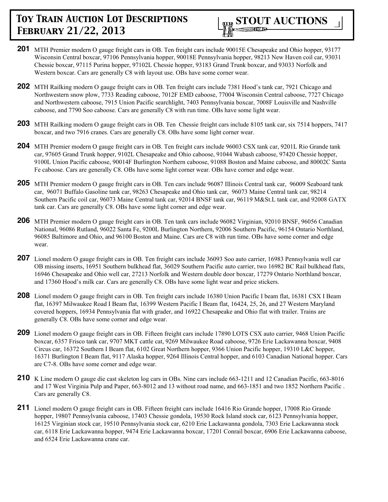

- **201** MTH Premier modern O gauge freight cars in OB. Ten freight cars include 90015E Chesapeake and Ohio hopper, 93177 Wisconsin Central boxcar, 97106 Pennsylvania hopper, 90018E Pennsylvania hopper, 98213 New Haven coil car, 93031 Chessie boxcar, 97115 Purina hopper, 97102L Chessie hopper, 93183 Grand Trunk boxcar, and 93033 Norfolk and Western boxcar. Cars are generally C8 with layout use. OBs have some corner wear.
- **202** MTH Railking modern O gauge freight cars in OB. Ten freight cars include 7381 Hood's tank car, 7921 Chicago and Northwestern snow plow, 7733 Reading caboose, 7012F EMD caboose, 77004 Wisconsin Central caboose, 7727 Chicago and Northwestern caboose, 7915 Union Pacific searchlight, 7403 Pennsylvania boxcar, 7008F Louisville and Nashville caboose, and 7790 Soo caboose. Cars are generally C8 with run time. OBs have some light wear.
- **203** MTH Railking modern O gauge freight cars in OB. Ten Chessie freight cars include 8105 tank car, six 7514 hoppers, 7417 boxcar, and two 7916 cranes. Cars are generally C8. OBs have some light corner wear.
- **204** MTH Premier modern O gauge freight cars in OB. Ten freight cars include 96003 CSX tank car, 9201L Rio Grande tank car, 97605 Grand Trunk hopper, 9102L Chesapeake and Ohio caboose, 91044 Wabash caboose, 97420 Chessie hopper, 9100L Union Pacific caboose, 90014F Burlington Northern caboose, 91088 Boston and Maine caboose, and 80002C Santa Fe caboose. Cars are generally C8. OBs have some light corner wear. OBs have corner and edge wear.
- **205** MTH Premier modern O gauge freight cars in OB. Ten cars include 96087 Illinois Central tank car, 96009 Seaboard tank car, 96071 Buffalo Gasoline tank car, 98263 Chesapeake and Ohio tank car, 96073 Maine Central tank car, 98214 Southern Pacific coil car, 96073 Maine Central tank car, 92014 BNSF tank car, 96119 M&St.L tank car, and 92008 GATX tank car. Cars are generally C8. OBs have some light corner and edge wear.
- **206** MTH Premier modern O gauge freight cars in OB. Ten tank cars include 96082 Virginian, 92010 BNSF, 96056 Canadian National, 96086 Rutland, 96022 Santa Fe, 9200L Burlington Northern, 92006 Southern Pacific, 96154 Ontario Northland, 96085 Baltimore and Ohio, and 96100 Boston and Maine. Cars are C8 with run time. OBs have some corner and edge wear.
- **207** Lionel modern O gauge freight cars in OB. Ten freight cars include 36093 Soo auto carrier, 16983 Pennsylvania well car OB missing inserts, 16951 Southern bulkhead flat, 36029 Southern Pacific auto carrier, two 16982 BC Rail bulkhead flats, 16946 Chesapeake and Ohio well car, 27213 Norfolk and Western double door boxcar, 17279 Ontario Northland boxcar, and 17360 Hood's milk car. Cars are generally C8. OBs have some light wear and price stickers.
- **208** Lionel modern O gauge freight cars in OB. Ten freight cars include 16380 Union Pacific I beam flat, 16381 CSX I Beam flat, 16397 Milwaukee Road I Beam flat, 16399 Western Pacific I Beam flat, 16424, 25, 26, and 27 Western Maryland covered hoppers, 16934 Pennsylvania flat with grader, and 16922 Chesapeake and Ohio flat with trailer. Trains are generally C8. OBs have some corner and edge wear.
- **209** Lionel modern O gauge freight cars in OB. Fifteen freight cars include 17890 LOTS CSX auto carrier, 9468 Union Pacific boxcar, 6357 Frisco tank car, 9707 MKT cattle cat, 9269 Milwaukee Road caboose, 9726 Erie Lackawanna boxcar, 9408 Circus car, 16372 Southern I Beam flat, 6102 Great Northern hopper, 9366 Union Pacific hopper, 19310 L&C hopper, 16371 Burlington I Beam flat, 9117 Alaska hopper, 9264 Illinois Central hopper, and 6103 Canadian National hopper. Cars are C7-8. OBs have some corner and edge wear.
- **210** K Line modern O gauge die cast skeleton log cars in OBs. Nine cars include 663-1211 and 12 Canadian Pacific, 663-8016 and 17 West Virginia Pulp and Paper, 663-8012 and 13 without road name, and 663-1851 and two 1852 Northern Pacific . Cars are generally C8.
- **211** Lionel modern O gauge freight cars in OB. Fifteen freight cars include 16416 Rio Grande hopper, 17008 Rio Grande hopper, 19807 Pennsylvania caboose, 17403 Chessie gondola, 19530 Rock Island stock car, 6123 Pennsylvania hopper, 16125 Virginian stock car, 19510 Pennsylvania stock car, 6210 Erie Lackawanna gondola, 7303 Erie Lackawanna stock car, 6118 Erie Lackawanna hopper, 9474 Erie Lackawanna boxcar, 17201 Conrail boxcar, 6906 Erie Lackawanna caboose, and 6524 Erie Lackawanna crane car.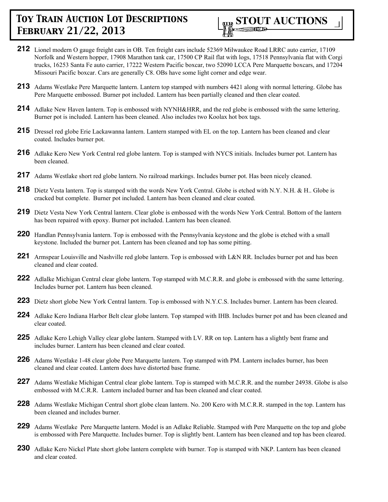

- **212** Lionel modern O gauge freight cars in OB. Ten freight cars include 52369 Milwaukee Road LRRC auto carrier, 17109 Norfolk and Western hopper, 17908 Marathon tank car, 17500 CP Rail flat with logs, 17518 Pennsylvania flat with Corgi trucks, 16253 Santa Fe auto carrier, 17222 Western Pacific boxcar, two 52090 LCCA Pere Marquette boxcars, and 17204 Missouri Pacific boxcar. Cars are generally C8. OBs have some light corner and edge wear.
- **213** Adams Westlake Pere Marquette lantern. Lantern top stamped with numbers 4421 along with normal lettering. Globe has Pere Marquette embossed. Burner pot included. Lantern has been partially cleaned and then clear coated.
- **214** Adlake New Haven lantern. Top is embossed with NYNH&HRR, and the red globe is embossed with the same lettering. Burner pot is included. Lantern has been cleaned. Also includes two Koolax hot box tags.
- **215** Dressel red globe Erie Lackawanna lantern. Lantern stamped with EL on the top. Lantern has been cleaned and clear coated. Includes burner pot.
- **216** Adlake Kero New York Central red globe lantern. Top is stamped with NYCS initials. Includes burner pot. Lantern has been cleaned.
- **217** Adams Westlake short red globe lantern. No railroad markings. Includes burner pot. Has been nicely cleaned.
- **218** Dietz Vesta lantern. Top is stamped with the words New York Central. Globe is etched with N.Y. N.H. & H.. Globe is cracked but complete. Burner pot included. Lantern has been cleaned and clear coated.
- **219** Dietz Vesta New York Central lantern. Clear globe is embossed with the words New York Central. Bottom of the lantern has been repaired with epoxy. Burner pot included. Lantern has been cleaned.
- **220** Handlan Pennsylvania lantern. Top is embossed with the Pennsylvania keystone and the globe is etched with a small keystone. Included the burner pot. Lantern has been cleaned and top has some pitting.
- **221** Armspear Louisville and Nashville red globe lantern. Top is embossed with L&N RR. Includes burner pot and has been cleaned and clear coated.
- **222** Adlalke Michigan Central clear globe lantern. Top stamped with M.C.R.R. and globe is embossed with the same lettering. Includes burner pot. Lantern has been cleaned.
- **223** Dietz short globe New York Central lantern. Top is embossed with N.Y.C.S. Includes burner. Lantern has been cleared.
- **224** Adlake Kero Indiana Harbor Belt clear globe lantern. Top stamped with IHB. Includes burner pot and has been cleaned and clear coated.
- **225** Adlake Kero Lehigh Valley clear globe lantern. Stamped with LV. RR on top. Lantern has a slightly bent frame and includes burner. Lantern has been cleaned and clear coated.
- **226** Adams Westlake 1-48 clear globe Pere Marquette lantern. Top stamped with PM. Lantern includes burner, has been cleaned and clear coated. Lantern does have distorted base frame.
- **227** Adams Westlake Michigan Central clear globe lantern. Top is stamped with M.C.R.R. and the number 24938. Globe is also embossed with M.C.R.R. Lantern included burner and has been cleaned and clear coated.
- **228** Adams Westlake Michigan Central short globe clean lantern. No. 200 Kero with M.C.R.R. stamped in the top. Lantern has been cleaned and includes burner.
- **229** Adams Westlake Pere Marquette lantern. Model is an Adlake Reliable. Stamped with Pere Marquette on the top and globe is embossed with Pere Marquette. Includes burner. Top is slightly bent. Lantern has been cleaned and top has been cleared.
- **230** Adlake Kero Nickel Plate short globe lantern complete with burner. Top is stamped with NKP. Lantern has been cleaned and clear coated.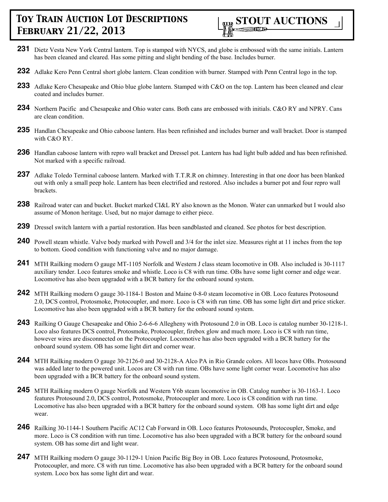

- **231** Dietz Vesta New York Central lantern. Top is stamped with NYCS, and globe is embossed with the same initials. Lantern has been cleaned and cleared. Has some pitting and slight bending of the base. Includes burner.
- **232** Adlake Kero Penn Central short globe lantern. Clean condition with burner. Stamped with Penn Central logo in the top.
- **233** Adlake Kero Chesapeake and Ohio blue globe lantern. Stamped with C&O on the top. Lantern has been cleaned and clear coated and includes burner.
- **234** Northern Pacific and Chesapeake and Ohio water cans. Both cans are embossed with initials. C&O RY and NPRY. Cans are clean condition.
- **235** Handlan Chesapeake and Ohio caboose lantern. Has been refinished and includes burner and wall bracket. Door is stamped with C&O RY.
- **236** Handlan caboose lantern with repro wall bracket and Dressel pot. Lantern has had light bulb added and has been refinished. Not marked with a specific railroad.
- **237** Adlake Toledo Terminal caboose lantern. Marked with T.T.R.R on chimney. Interesting in that one door has been blanked out with only a small peep hole. Lantern has been electrified and restored. Also includes a burner pot and four repro wall brackets.
- **238** Railroad water can and bucket. Bucket marked CI&L RY also known as the Monon. Water can unmarked but I would also assume of Monon heritage. Used, but no major damage to either piece.
- **239** Dressel switch lantern with a partial restoration. Has been sandblasted and cleaned. See photos for best description.
- **240** Powell steam whistle. Valve body marked with Powell and 3/4 for the inlet size. Measures right at 11 inches from the top to bottom. Good condition with functioning valve and no major damage.
- **241** MTH Railking modern O gauge MT-1105 Norfolk and Western J class steam locomotive in OB. Also included is 30-1117 auxiliary tender. Loco features smoke and whistle. Loco is C8 with run time. OBs have some light corner and edge wear. Locomotive has also been upgraded with a BCR battery for the onboard sound system.
- **242** MTH Railking modern O gauge 30-1184-1 Boston and Maine 0-8-0 steam locomotive in OB. Loco features Protosound 2.0, DCS control, Protosmoke, Protocoupler, and more. Loco is C8 with run time. OB has some light dirt and price sticker. Locomotive has also been upgraded with a BCR battery for the onboard sound system.
- **243** Railking O Gauge Chesapeake and Ohio 2-6-6-6 Allegheny with Protosound 2.0 in OB. Loco is catalog number 30-1218-1. Loco also features DCS control, Protosmoke, Protocoupler, firebox glow and much more. Loco is C8 with run time, however wires are disconnected on the Protocoupler. Locomotive has also been upgraded with a BCR battery for the onboard sound system. OB has some light dirt and corner wear.
- **244** MTH Railking modern O gauge 30-2126-0 and 30-2128-A Alco PA in Rio Grande colors. All locos have OBs. Protosound was added later to the powered unit. Locos are C8 with run time. OBs have some light corner wear. Locomotive has also been upgraded with a BCR battery for the onboard sound system.
- **245** MTH Railking modern O gauge Norfolk and Western Y6b steam locomotive in OB. Catalog number is 30-1163-1. Loco features Protosound 2.0, DCS control, Protosmoke, Protocoupler and more. Loco is C8 condition with run time. Locomotive has also been upgraded with a BCR battery for the onboard sound system. OB has some light dirt and edge wear.
- **246** Railking 30-1144-1 Southern Pacific AC12 Cab Forward in OB. Loco features Protosounds, Protocoupler, Smoke, and more. Loco is C8 condition with run time. Locomotive has also been upgraded with a BCR battery for the onboard sound system. OB has some dirt and light wear.
- **247** MTH Railking modern O gauge 30-1129-1 Union Pacific Big Boy in OB. Loco features Protosound, Protosmoke, Protocoupler, and more. C8 with run time. Locomotive has also been upgraded with a BCR battery for the onboard sound system. Loco box has some light dirt and wear.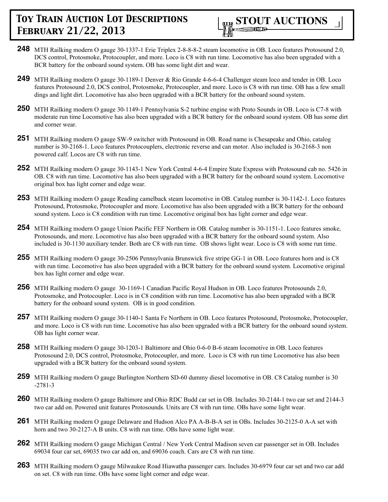- **248** MTH Railking modern O gauge 30-1337-1 Erie Triplex 2-8-8-8-2 steam locomotive in OB. Loco features Protosound 2.0, DCS control, Protosmoke, Protocoupler, and more. Loco is C8 with run time. Locomotive has also been upgraded with a BCR battery for the onboard sound system. OB has some light dirt and wear.
- **249** MTH Railking modern O gauge 30-1189-1 Denver & Rio Grande 4-6-6-4 Challenger steam loco and tender in OB. Loco features Protosound 2.0, DCS control, Protosmoke, Protocoupler, and more. Loco is C8 with run time. OB has a few small dings and light dirt. Locomotive has also been upgraded with a BCR battery for the onboard sound system.
- **250** MTH Railking modern O gauge 30-1149-1 Pennsylvania S-2 turbine engine with Proto Sounds in OB. Loco is C7-8 with moderate run time Locomotive has also been upgraded with a BCR battery for the onboard sound system. OB has some dirt and corner wear.
- **251** MTH Railking modern O gauge SW-9 switcher with Protosound in OB. Road name is Chesapeake and Ohio, catalog number is 30-2168-1. Loco features Protocouplers, electronic reverse and can motor. Also included is 30-2168-3 non powered calf. Locos are C8 with run time.
- **252** MTH Railking modern O gauge 30-1143-1 New York Central 4-6-4 Empire State Express with Protosound cab no. 5426 in OB. C8 with run time. Locomotive has also been upgraded with a BCR battery for the onboard sound system. Locomotive original box has light corner and edge wear.
- **253** MTH Railking modern O gauge Reading camelback steam locomotive in OB. Catalog number is 30-1142-1. Loco features Protosound, Protosmoke, Protocoupler and more. Locomotive has also been upgraded with a BCR battery for the onboard sound system. Loco is C8 condition with run time. Locomotive original box has light corner and edge wear.
- **254** MTH Railking modern O gauge Union Pacific FEF Northern in OB. Catalog number is 30-1151-1. Loco features smoke, Protosounds, and more. Locomotive has also been upgraded with a BCR battery for the onboard sound system. Also included is 30-1130 auxiliary tender. Both are C8 with run time. OB shows light wear. Loco is C8 with some run time.
- **255** MTH Railking modern O gauge 30-2506 Pennsylvania Brunswick five stripe GG-1 in OB. Loco features horn and is C8 with run time. Locomotive has also been upgraded with a BCR battery for the onboard sound system. Locomotive original box has light corner and edge wear.
- **256** MTH Railking modern O gauge 30-1169-1 Canadian Pacific Royal Hudson in OB. Loco features Protosounds 2.0, Protosmoke, and Protocoupler. Loco is in C8 condition with run time. Locomotive has also been upgraded with a BCR battery for the onboard sound system. OB is in good condition.
- **257** MTH Railking modern O gauge 30-1140-1 Santa Fe Northern in OB. Loco features Protosound, Protosmoke, Protocoupler, and more. Loco is C8 with run time. Locomotive has also been upgraded with a BCR battery for the onboard sound system. OB has light corner wear.
- **258** MTH Railking modern O gauge 30-1203-1 Baltimore and Ohio 0-6-0 B-6 steam locomotive in OB. Loco features Protosound 2.0, DCS control, Protosmoke, Protocoupler, and more. Loco is C8 with run time Locomotive has also been upgraded with a BCR battery for the onboard sound system.
- **259** MTH Railking modern O gauge Burlington Northern SD-60 dummy diesel locomotive in OB. C8 Catalog number is 30 -2781-3
- **260** MTH Railking modern O gauge Baltimore and Ohio RDC Budd car set in OB. Includes 30-2144-1 two car set and 2144-3 two car add on. Powered unit features Protosounds. Units are C8 with run time. OBs have some light wear.
- **261** MTH Railking modern O gauge Delaware and Hudson Alco PA A-B-B-A set in OBs. Includes 30-2125-0 A-A set with horn and two 30-2127-A B units. C8 with run time. OBs have some light wear.
- **262** MTH Railking modern O gauge Michigan Central / New York Central Madison seven car passenger set in OB. Includes 69034 four car set, 69035 two car add on, and 69036 coach. Cars are C8 with run time.
- **263** MTH Railking modern O gauge Milwaukee Road Hiawatha passenger cars. Includes 30-6979 four car set and two car add on set. C8 with run time. OBs have some light corner and edge wear.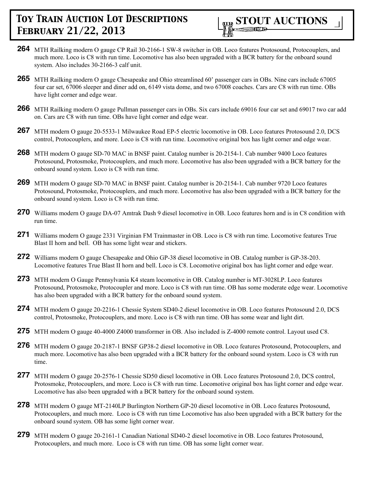

- **264** MTH Railking modern O gauge CP Rail 30-2166-1 SW-8 switcher in OB. Loco features Protosound, Protocouplers, and much more. Loco is C8 with run time. Locomotive has also been upgraded with a BCR battery for the onboard sound system. Also includes 30-2166-3 calf unit.
- **265** MTH Railking modern O gauge Chesapeake and Ohio streamlined 60' passenger cars in OBs. Nine cars include 67005 four car set, 67006 sleeper and diner add on, 6149 vista dome, and two 67008 coaches. Cars are C8 with run time. OBs have light corner and edge wear.
- **266** MTH Railking modern O gauge Pullman passenger cars in OBs. Six cars include 69016 four car set and 69017 two car add on. Cars are C8 with run time. OBs have light corner and edge wear.
- **267** MTH modern O gauge 20-5533-1 Milwaukee Road EP-5 electric locomotive in OB. Loco features Protosound 2.0, DCS control, Protocouplers, and more. Loco is C8 with run time. Locomotive original box has light corner and edge wear.
- **268** MTH modern O gauge SD-70 MAC in BNSF paint. Catalog number is 20-2154-1. Cab number 9400 Loco features Protosound, Protosmoke, Protocouplers, and much more. Locomotive has also been upgraded with a BCR battery for the onboard sound system. Loco is C8 with run time.
- **269** MTH modern O gauge SD-70 MAC in BNSF paint. Catalog number is 20-2154-1. Cab number 9720 Loco features Protosound, Protosmoke, Protocouplers, and much more. Locomotive has also been upgraded with a BCR battery for the onboard sound system. Loco is C8 with run time.
- **270** Williams modern O gauge DA-07 Amtrak Dash 9 diesel locomotive in OB. Loco features horn and is in C8 condition with run time.
- **271** Williams modern O gauge 2331 Virginian FM Trainmaster in OB. Loco is C8 with run time. Locomotive features True Blast II horn and bell. OB has some light wear and stickers.
- **272** Williams modern O gauge Chesapeake and Ohio GP-38 diesel locomotive in OB. Catalog number is GP-38-203. Locomotive features True Blast II horn and bell. Loco is C8. Locomotive original box has light corner and edge wear.
- **273** MTH modern O Gauge Pennsylvania K4 steam locomotive in OB. Catalog number is MT-3028LP. Loco features Protosound, Protosmoke, Protocoupler and more. Loco is C8 with run time. OB has some moderate edge wear. Locomotive has also been upgraded with a BCR battery for the onboard sound system.
- **274** MTH modern O gauge 20-2216-1 Chessie System SD40-2 diesel locomotive in OB. Loco features Protosound 2.0, DCS control, Protosmoke, Protocouplers, and more. Loco is C8 with run time. OB has some wear and light dirt.
- **275** MTH modern O gauge 40-4000 Z4000 transformer in OB. Also included is Z-4000 remote control. Layout used C8.
- **276** MTH modern O gauge 20-2187-1 BNSF GP38-2 diesel locomotive in OB. Loco features Protosound, Protocouplers, and much more. Locomotive has also been upgraded with a BCR battery for the onboard sound system. Loco is C8 with run time.
- **277** MTH modern O gauge 20-2576-1 Chessie SD50 diesel locomotive in OB. Loco features Protosound 2.0, DCS control, Protosmoke, Protocouplers, and more. Loco is C8 with run time. Locomotive original box has light corner and edge wear. Locomotive has also been upgraded with a BCR battery for the onboard sound system.
- **278** MTH modern O gauge MT-2140LP Burlington Northern GP-20 diesel locomotive in OB. Loco features Protosound, Protocouplers, and much more. Loco is C8 with run time Locomotive has also been upgraded with a BCR battery for the onboard sound system. OB has some light corner wear.
- **279** MTH modern O gauge 20-2161-1 Canadian National SD40-2 diesel locomotive in OB. Loco features Protosound, Protocouplers, and much more. Loco is C8 with run time. OB has some light corner wear.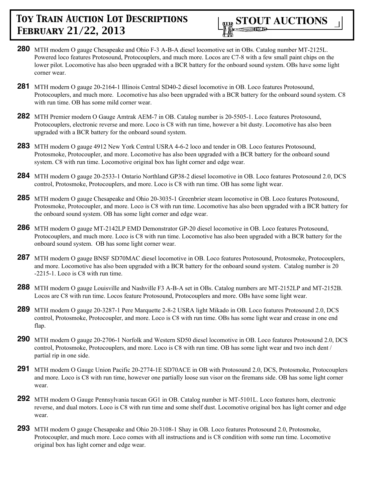

- **280** MTH modern O gauge Chesapeake and Ohio F-3 A-B-A diesel locomotive set in OBs. Catalog number MT-2125L. Powered loco features Protosound, Protocouplers, and much more. Locos are C7-8 with a few small paint chips on the lower pilot. Locomotive has also been upgraded with a BCR battery for the onboard sound system. OBs have some light corner wear.
- **281** MTH modern O gauge 20-2164-1 Illinois Central SD40-2 diesel locomotive in OB. Loco features Protosound, Protocouplers, and much more. Locomotive has also been upgraded with a BCR battery for the onboard sound system. C8 with run time. OB has some mild corner wear.
- **282** MTH Premier modern O Gauge Amtrak AEM-7 in OB. Catalog number is 20-5505-1. Loco features Protosound, Protocouplers, electronic reverse and more. Loco is C8 with run time, however a bit dusty. Locomotive has also been upgraded with a BCR battery for the onboard sound system.
- **283** MTH modern O gauge 4912 New York Central USRA 4-6-2 loco and tender in OB. Loco features Protosound, Protosmoke, Protocoupler, and more. Locomotive has also been upgraded with a BCR battery for the onboard sound system. C8 with run time. Locomotive original box has light corner and edge wear.
- **284** MTH modern O gauge 20-2533-1 Ontario Northland GP38-2 diesel locomotive in OB. Loco features Protosound 2.0, DCS control, Protosmoke, Protocouplers, and more. Loco is C8 with run time. OB has some light wear.
- **285** MTH modern O gauge Chesapeake and Ohio 20-3035-1 Greenbrier steam locomotive in OB. Loco features Protosound, Protosmoke, Protocoupler, and more. Loco is C8 with run time. Locomotive has also been upgraded with a BCR battery for the onboard sound system. OB has some light corner and edge wear.
- **286** MTH modern O gauge MT-2142LP EMD Demonstrator GP-20 diesel locomotive in OB. Loco features Protosound, Protocouplers, and much more. Loco is C8 with run time. Locomotive has also been upgraded with a BCR battery for the onboard sound system. OB has some light corner wear.
- **287** MTH modern O gauge BNSF SD70MAC diesel locomotive in OB. Loco features Protosound, Protosmoke, Protocouplers, and more. Locomotive has also been upgraded with a BCR battery for the onboard sound system. Catalog number is 20 -2215-1. Loco is C8 with run time.
- **288** MTH modern O gauge Louisville and Nashville F3 A-B-A set in OBs. Catalog numbers are MT-2152LP and MT-2152B. Locos are C8 with run time. Locos feature Protosound, Protocouplers and more. OBs have some light wear.
- **289** MTH modern O gauge 20-3287-1 Pere Marquette 2-8-2 USRA light Mikado in OB. Loco features Protosound 2.0, DCS control, Protosmoke, Protocoupler, and more. Loco is C8 with run time. OBs has some light wear and crease in one end flap.
- **290** MTH modern O gauge 20-2706-1 Norfolk and Western SD50 diesel locomotive in OB. Loco features Protosound 2.0, DCS control, Protosmoke, Protocouplers, and more. Loco is C8 with run time. OB has some light wear and two inch dent / partial rip in one side.
- **291** MTH modern O Gauge Union Pacific 20-2774-1E SD70ACE in OB with Protosound 2.0, DCS, Protosmoke, Protocouplers and more. Loco is C8 with run time, however one partially loose sun visor on the firemans side. OB has some light corner wear.
- **292** MTH modern O Gauge Pennsylvania tuscan GG1 in OB. Catalog number is MT-5101L. Loco features horn, electronic reverse, and dual motors. Loco is C8 with run time and some shelf dust. Locomotive original box has light corner and edge wear.
- **293** MTH modern O gauge Chesapeake and Ohio 20-3108-1 Shay in OB. Loco features Protosound 2.0, Protosmoke, Protocoupler, and much more. Loco comes with all instructions and is C8 condition with some run time. Locomotive original box has light corner and edge wear.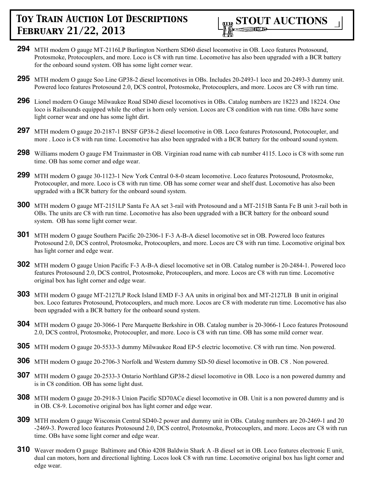

- **294** MTH modern O gauge MT-2116LP Burlington Northern SD60 diesel locomotive in OB. Loco features Protosound, Protosmoke, Protocouplers, and more. Loco is C8 with run time. Locomotive has also been upgraded with a BCR battery for the onboard sound system. OB has some light corner wear.
- **295** MTH modern O gauge Soo Line GP38-2 diesel locomotives in OBs. Includes 20-2493-1 loco and 20-2493-3 dummy unit. Powered loco features Protosound 2.0, DCS control, Protosmoke, Protocouplers, and more. Locos are C8 with run time.
- **296** Lionel modern O Gauge Milwaukee Road SD40 diesel locomotives in OBs. Catalog numbers are 18223 and 18224. One loco is Railsounds equipped while the other is horn only version. Locos are C8 condition with run time. OBs have some light corner wear and one has some light dirt.
- **297** MTH modern O gauge 20-2187-1 BNSF GP38-2 diesel locomotive in OB. Loco features Protosound, Protocoupler, and more . Loco is C8 with run time. Locomotive has also been upgraded with a BCR battery for the onboard sound system.
- **298** Williams modern O gauge FM Trainmaster in OB. Virginian road name with cab number 4115. Loco is C8 with some run time. OB has some corner and edge wear.
- **299** MTH modern O gauge 30-1123-1 New York Central 0-8-0 steam locomotive. Loco features Protosound, Protosmoke, Protocoupler, and more. Loco is C8 with run time. OB has some corner wear and shelf dust. Locomotive has also been upgraded with a BCR battery for the onboard sound system.
- **300** MTH modern O gauge MT-2151LP Santa Fe AA set 3-rail with Protosound and a MT-2151B Santa Fe B unit 3-rail both in OBs. The units are C8 with run time. Locomotive has also been upgraded with a BCR battery for the onboard sound system. OB has some light corner wear.
- **301** MTH modern O gauge Southern Pacific 20-2306-1 F-3 A-B-A diesel locomotive set in OB. Powered loco features Protosound 2.0, DCS control, Protosmoke, Protocouplers, and more. Locos are C8 with run time. Locomotive original box has light corner and edge wear.
- **302** MTH modern O gauge Union Pacific F-3 A-B-A diesel locomotive set in OB. Catalog number is 20-2484-1. Powered loco features Protosound 2.0, DCS control, Protosmoke, Protocouplers, and more. Locos are C8 with run time. Locomotive original box has light corner and edge wear.
- **303** MTH modern O gauge MT-2127LP Rock Island EMD F-3 AA units in original box and MT-2127LB B unit in original box. Loco features Protosound, Protocouplers, and much more. Locos are C8 with moderate run time. Locomotive has also been upgraded with a BCR battery for the onboard sound system.
- **304** MTH modern O gauge 20-3066-1 Pere Marquette Berkshire in OB. Catalog number is 20-3066-1 Loco features Protosound 2.0, DCS control, Protosmoke, Protocoupler, and more. Loco is C8 with run time. OB has some mild corner wear.
- **305** MTH modern O gauge 20-5533-3 dummy Milwaukee Road EP-5 electric locomotive. C8 with run time. Non powered.
- **306** MTH modern O gauge 20-2706-3 Norfolk and Western dummy SD-50 diesel locomotive in OB. C8 . Non powered.
- **307** MTH modern O gauge 20-2533-3 Ontario Northland GP38-2 diesel locomotive in OB. Loco is a non powered dummy and is in C8 condition. OB has some light dust.
- **308** MTH modern O gauge 20-2918-3 Union Pacific SD70ACe diesel locomotive in OB. Unit is a non powered dummy and is in OB. C8-9. Locomotive original box has light corner and edge wear.
- **309** MTH modern O gauge Wisconsin Central SD40-2 power and dummy unit in OBs. Catalog numbers are 20-2469-1 and 20 -2469-3. Powered loco features Protosound 2.0, DCS control, Protosmoke, Protocouplers, and more. Locos are C8 with run time. OBs have some light corner and edge wear.
- **310** Weaver modern O gauge Baltimore and Ohio 4208 Baldwin Shark A -B diesel set in OB. Loco features electronic E unit, dual can motors, horn and directional lighting. Locos look C8 with run time. Locomotive original box has light corner and edge wear.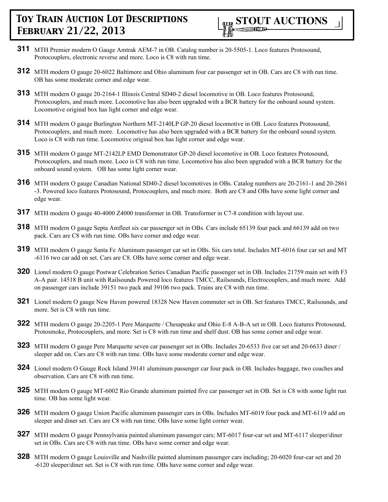

- **311** MTH Premier modern O Gauge Amtrak AEM-7 in OB. Catalog number is 20-5505-1. Loco features Protosound, Protocouplers, electronic reverse and more. Loco is C8 with run time.
- **312** MTH modern O gauge 20-6022 Baltimore and Ohio aluminum four car passenger set in OB. Cars are C8 with run time. OB has some moderate corner and edge wear.
- **313** MTH modern O gauge 20-2164-1 Illinois Central SD40-2 diesel locomotive in OB. Loco features Protosound, Protocouplers, and much more. Locomotive has also been upgraded with a BCR battery for the onboard sound system. Locomotive original box has light corner and edge wear.
- **314** MTH modern O gauge Burlington Northern MT-2140LP GP-20 diesel locomotive in OB. Loco features Protosound, Protocouplers, and much more. Locomotive has also been upgraded with a BCR battery for the onboard sound system. Loco is C8 with run time. Locomotive original box has light corner and edge wear.
- **315** MTH modern O gauge MT-2142LP EMD Demonstrator GP-20 diesel locomotive in OB. Loco features Protosound, Protocouplers, and much more. Loco is C8 with run time. Locomotive has also been upgraded with a BCR battery for the onboard sound system. OB has some light corner wear.
- **316** MTH modern O gauge Canadian National SD40-2 diesel locomotives in OBs. Catalog numbers are 20-2161-1 and 20-2861 -3. Powered loco features Protosound, Protocouplers, and much more. Both are C8 and OBs have some light corner and edge wear.
- **317** MTH modern O gauge 40-4000 Z4000 transformer in OB. Transformer in C7-8 condition with layout use.
- **318** MTH modern O gauge Septa Amfleet six car passenger set in OBs. Cars include 65139 four pack and 66139 add on two pack. Cars are C8 with run time. OBs have corner and edge wear.
- **319** MTH modern O gauge Santa Fe Aluminum passenger car set in OBs. Six cars total. Includes MT-6016 four car set and MT -6116 two car add on set. Cars are C8. OBs have some corner and edge wear.
- **320** Lionel modern O gauge Postwar Celebration Series Canadian Pacific passenger set in OB. Includes 21759 main set with F3 A-A pair. 14518 B unit with Railsounds Powered loco features TMCC, Railsounds, Electrocouplers, and much more. Add on passenger cars include 39151 two pack and 39106 two pack. Trains are C8 with run time.
- **321** Lionel modern O gauge New Haven powered 18328 New Haven commuter set in OB. Set features TMCC, Railsounds, and more. Set is C8 with run time.
- **322** MTH modern O gauge 20-2205-1 Pere Marquette / Chesapeake and Ohio E-8 A-B-A set in OB. Loco features Protosound, Protosmoke, Protocouplers, and more. Set is C8 with run time and shelf dust. OB has some corner and edge wear.
- **323** MTH modern O gauge Pere Marquette seven car passenger set in OBs. Includes 20-6533 five car set and 20-6633 diner / sleeper add on. Cars are C8 with run time. OBs have some moderate corner and edge wear.
- **324** Lionel modern O Gauge Rock Island 39141 aluminum passenger car four pack in OB. Includes baggage, two coaches and observation. Cars are C8 with run time.
- **325** MTH modern O gauge MT-6002 Rio Grande aluminum painted five car passenger set in OB. Set is C8 with some light run time. OB has some light wear.
- **326** MTH modern O gauge Union Pacific aluminum passenger cars in OBs. Includes MT-6019 four pack and MT-6119 add on sleeper and diner set. Cars are C8 with run time. OBs have some light corner wear.
- **327** MTH modern O gauge Pennsylvania painted aluminum passenger cars; MT-6017 four-car set and MT-6117 sleeper/diner set in OBs. Cars are C8 with run time. OBs have some corner and edge wear.
- **328** MTH modern O gauge Louisville and Nashville painted aluminum passenger cars including; 20-6020 four-car set and 20 -6120 sleeper/diner set. Set is C8 with run time. OBs have some corner and edge wear.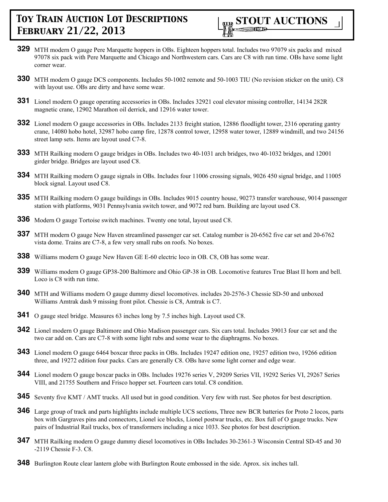

- **329** MTH modern O gauge Pere Marquette hoppers in OBs. Eighteen hoppers total. Includes two 97079 six packs and mixed 97078 six pack with Pere Marquette and Chicago and Northwestern cars. Cars are C8 with run time. OBs have some light corner wear.
- **330** MTH modern O gauge DCS components. Includes 50-1002 remote and 50-1003 TIU (No revision sticker on the unit). C8 with layout use. OBs are dirty and have some wear.
- **331** Lionel modern O gauge operating accessories in OBs. Includes 32921 coal elevator missing controller, 14134 282R magnetic crane, 12902 Marathon oil derrick, and 12916 water tower.
- **332** Lionel modern O gauge accessories in OBs. Includes 2133 freight station, 12886 floodlight tower, 2316 operating gantry crane, 14080 hobo hotel, 32987 hobo camp fire, 12878 control tower, 12958 water tower, 12889 windmill, and two 24156 street lamp sets. Items are layout used C7-8.
- **333** MTH Railking modern O gauge bridges in OBs. Includes two 40-1031 arch bridges, two 40-1032 bridges, and 12001 girder bridge. Bridges are layout used C8.
- **334** MTH Railking modern O gauge signals in OBs. Includes four 11006 crossing signals, 9026 450 signal bridge, and 11005 block signal. Layout used C8.
- **335** MTH Railking modern O gauge buildings in OBs. Includes 9015 country house, 90273 transfer warehouse, 9014 passenger station with platforms, 9031 Pennsylvania switch tower, and 9072 red barn. Building are layout used C8.
- **336** Modern O gauge Tortoise switch machines. Twenty one total, layout used C8.
- **337** MTH modern O gauge New Haven streamlined passenger car set. Catalog number is 20-6562 five car set and 20-6762 vista dome. Trains are C7-8, a few very small rubs on roofs. No boxes.
- **338** Williams modern O gauge New Haven GE E-60 electric loco in OB. C8, OB has some wear.
- **339** Williams modern O gauge GP38-200 Baltimore and Ohio GP-38 in OB. Locomotive features True Blast II horn and bell. Loco is C8 with run time.
- **340** MTH and Williams modern O gauge dummy diesel locomotives. includes 20-2576-3 Chessie SD-50 and unboxed Williams Amtrak dash 9 missing front pilot. Chessie is C8, Amtrak is C7.
- **341** O gauge steel bridge. Measures 63 inches long by 7.5 inches high. Layout used C8.
- **342** Lionel modern O gauge Baltimore and Ohio Madison passenger cars. Six cars total. Includes 39013 four car set and the two car add on. Cars are C7-8 with some light rubs and some wear to the diaphragms. No boxes.
- **343** Lionel modern O gauge 6464 boxcar three packs in OBs. Includes 19247 edition one, 19257 edition two, 19266 edition three, and 19272 edition four packs. Cars are generally C8. OBs have some light corner and edge wear.
- **344** Lionel modern O gauge boxcar packs in OBs. Includes 19276 series V, 29209 Series VII, 19292 Series VI, 29267 Series VIII, and 21755 Southern and Frisco hopper set. Fourteen cars total. C8 condition.
- **345** Seventy five KMT / AMT trucks. All used but in good condition. Very few with rust. See photos for best description.
- **346** Large group of track and parts highlights include multiple UCS sections, Three new BCR batteries for Proto 2 locos, parts box with Gargraves pins and connectors, Lionel ice blocks, Lionel postwar trucks, etc. Box full of O gauge trucks. New pairs of Industrial Rail trucks, box of transformers including a nice 1033. See photos for best description.
- **347** MTH Railking modern O gauge dummy diesel locomotives in OBs Includes 30-2361-3 Wisconsin Central SD-45 and 30 -2119 Chessie F-3. C8.
- **348** Burlington Route clear lantern globe with Burlington Route embossed in the side. Aprox. six inches tall.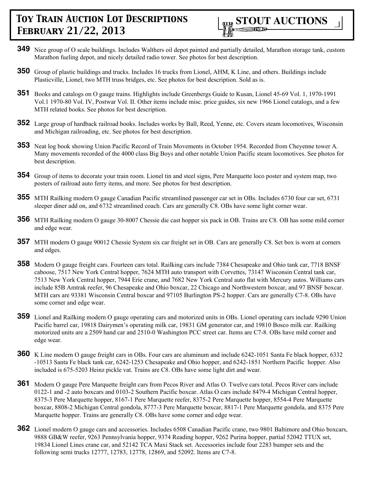

- **349** Nice group of O scale buildings. Includes Walthers oil depot painted and partially detailed, Marathon storage tank, custom Marathon fueling depot, and nicely detailed radio tower. See photos for best description.
- **350** Group of plastic buildings and trucks. Includes 16 trucks from Lionel, AHM, K Line, and others. Buildings include Plasticville, Lionel, two MTH truss bridges, etc. See photos for best description. Sold as is.
- **351** Books and catalogs on O gauge trains. Highlights include Greenbergs Guide to Kusan, Lionel 45-69 Vol. 1, 1970-1991 Vol.1 1970-80 Vol. IV, Postwar Vol. II. Other items include misc. price guides, six new 1966 Lionel catalogs, and a few MTH related books. See photos for best description.
- **352** Large group of hardback railroad books. Includes works by Ball, Reed, Yenne, etc. Covers steam locomotives, Wisconsin and Michigan railroading, etc. See photos for best description.
- **353** Neat log book showing Union Pacific Record of Train Movements in October 1954. Recorded from Cheyenne tower A. Many movements recorded of the 4000 class Big Boys and other notable Union Pacific steam locomotives. See photos for best description.
- **354** Group of items to decorate your train room. Lionel tin and steel signs, Pere Marquette loco poster and system map, two posters of railroad auto ferry items, and more. See photos for best description.
- **355** MTH Railking modern O gauge Canadian Pacific streamlined passenger car set in OBs. Includes 6730 four car set, 6731 sleeper diner add on, and 6732 streamlined coach. Cars are generally C8. OBs have some light corner wear.
- **356** MTH Railking modern O gauge 30-8007 Chessie die cast hopper six pack in OB. Trains are C8. OB has some mild corner and edge wear.
- **357** MTH modern O gauge 90012 Chessie System six car freight set in OB. Cars are generally C8. Set box is worn at corners and edges.
- **358** Modern O gauge freight cars. Fourteen cars total. Railking cars include 7384 Chesapeake and Ohio tank car, 7718 BNSF caboose, 7517 New York Central hopper, 7624 MTH auto transport with Corvettes, 73147 Wisconsin Central tank car, 7513 New York Central hopper, 7944 Erie crane, and 7682 New York Central auto flat with Mercury autos. Williams cars include 85B Amtrak reefer, 96 Chesapeake and Ohio boxcar, 22 Chicago and Northwestern boxcar, and 97 BNSF boxcar. MTH cars are 93381 Wisconsin Central boxcar and 97105 Burlington PS-2 hopper. Cars are generally C7-8. OBs have some corner and edge wear.
- **359** Lionel and Railking modern O gauge operating cars and motorized units in OBs. Lionel operating cars include 9290 Union Pacific barrel car, 19818 Dairymen's operating milk car, 19831 GM generator car, and 19810 Bosco milk car. Railking motorized units are a 2509 hand car and 2510-0 Washington PCC street car. Items are C7-8. OBs have mild corner and edge wear.
- **360** K Line modern O gauge freight cars in OBs. Four cars are aluminum and include 6242-1051 Santa Fe black hopper, 6332 -10513 Santa Fe black tank car, 6242-1253 Chesapeake and Ohio hopper, and 6242-1851 Northern Pacific hopper. Also included is 675-5203 Heinz pickle vat. Trains are C8. OBs have some light dirt and wear.
- **361** Modern O gauge Pere Marquette freight cars from Pecos River and Atlas O. Twelve cars total. Pecos River cars include 0122-1 and -2 auto boxcars and 0103-2 Southern Pacific boxcar. Atlas O cars include 8479-4 Michigan Central hopper, 8375-3 Pere Marquette hopper, 8167-1 Pere Marquette reefer, 8375-2 Pere Marquette hopper, 8554-4 Pere Marquette boxcar, 8808-2 Michigan Central gondola, 8777-3 Pere Marquette boxcar, 8817-1 Pere Marquette gondola, and 8375 Pere Marquette hopper. Trains are generally C8. OBs have some corner and edge wear.
- **362** Lionel modern O gauge cars and accessories. Includes 6508 Canadian Pacific crane, two 9801 Baltimore and Ohio boxcars, 9888 GB&W reefer, 9263 Pennsylvania hopper, 9374 Reading hopper, 9262 Purina hopper, partial 52042 TTUX set, 19834 Lionel Lines crane car, and 52142 TCA Maxi Stack set. Accessories include four 2283 bumper sets and the following semi trucks 12777, 12783, 12778, 12869, and 52092. Items are C7-8.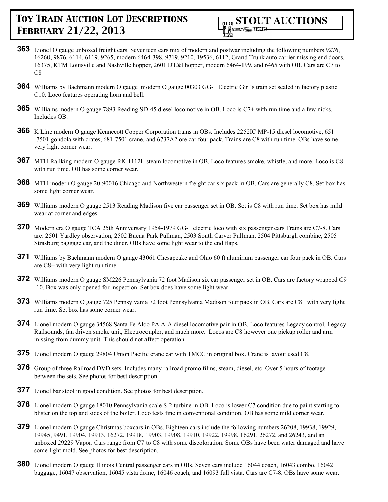

- **363** Lionel O gauge unboxed freight cars. Seventeen cars mix of modern and postwar including the following numbers 9276, 16260, 9876, 6114, 6119, 9265, modern 6464-398, 9719, 9210, 19536, 6112, Grand Trunk auto carrier missing end doors, 16375, KTM Louisville and Nashville hopper, 2601 DT&I hopper, modern 6464-199, and 6465 with OB. Cars are C7 to C8
- **364** Williams by Bachmann modern O gauge modern O gauge 00303 GG-1 Electric Girl's train set sealed in factory plastic C10. Loco features operating horn and bell.
- **365** Williams modern O gauge 7893 Reading SD-45 diesel locomotive in OB. Loco is C7+ with run time and a few nicks. Includes OB.
- **366** K Line modern O gauge Kennecott Copper Corporation trains in OBs. Includes 2252IC MP-15 diesel locomotive, 651 -7501 gondola with crates, 681-7501 crane, and 6737A2 ore car four pack. Trains are C8 with run time. OBs have some very light corner wear.
- **367** MTH Railking modern O gauge RK-1112L steam locomotive in OB. Loco features smoke, whistle, and more. Loco is C8 with run time. OB has some corner wear.
- **368** MTH modern O gauge 20-90016 Chicago and Northwestern freight car six pack in OB. Cars are generally C8. Set box has some light corner wear.
- **369** Williams modern O gauge 2513 Reading Madison five car passenger set in OB. Set is C8 with run time. Set box has mild wear at corner and edges.
- **370** Modern era O gauge TCA 25th Anniversary 1954-1979 GG-1 electric loco with six passenger cars Trains are C7-8. Cars are: 2501 Yardley observation, 2502 Buena Park Pullman, 2503 South Carver Pullman, 2504 Pittsburgh combine, 2505 Strasburg baggage car, and the diner. OBs have some light wear to the end flaps.
- **371** Williams by Bachmann modern O gauge 43061 Chesapeake and Ohio 60 ft aluminum passenger car four pack in OB. Cars are C8+ with very light run time.
- **372** Williams modern O gauge SM226 Pennsylvania 72 foot Madison six car passenger set in OB. Cars are factory wrapped C9 -10. Box was only opened for inspection. Set box does have some light wear.
- **373** Williams modern O gauge 725 Pennsylvania 72 foot Pennsylvania Madison four pack in OB. Cars are C8+ with very light run time. Set box has some corner wear.
- **374** Lionel modern O gauge 34568 Santa Fe Alco PA A-A diesel locomotive pair in OB. Loco features Legacy control, Legacy Railsounds, fan driven smoke unit, Electrocoupler, and much more. Locos are C8 however one pickup roller and arm missing from dummy unit. This should not affect operation.
- **375** Lionel modern O gauge 29804 Union Pacific crane car with TMCC in original box. Crane is layout used C8.
- **376** Group of three Railroad DVD sets. Includes many railroad promo films, steam, diesel, etc. Over 5 hours of footage between the sets. See photos for best description.
- **377** Lionel bar stool in good condition. See photos for best description.
- **378** Lionel modern O gauge 18010 Pennsylvania scale S-2 turbine in OB. Loco is lower C7 condition due to paint starting to blister on the top and sides of the boiler. Loco tests fine in conventional condition. OB has some mild corner wear.
- **379** Lionel modern O gauge Christmas boxcars in OBs. Eighteen cars include the following numbers 26208, 19938, 19929, 19945, 9491, 19904, 19913, 16272, 19918, 19903, 19908, 19910, 19922, 19998, 16291, 26272, and 26243, and an unboxed 29229 Vapor. Cars range from C7 to C8 with some discoloration. Some OBs have been water damaged and have some light mold. See photos for best description.
- **380** Lionel modern O gauge Illinois Central passenger cars in OBs. Seven cars include 16044 coach, 16043 combo, 16042 baggage, 16047 observation, 16045 vista dome, 16046 coach, and 16093 full vista. Cars are C7-8. OBs have some wear.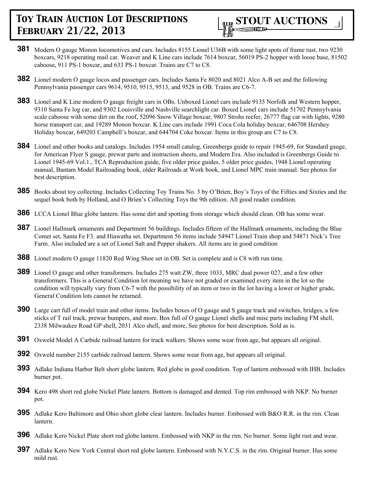

- **381** Modern O gauge Monon locomotives and cars. Includes 8155 Lionel U36B with some light spots of frame rust. two 9230 boxcars, 9218 operating mail car. Weaver and K Line cars include 7614 boxcar, 56019 PS-2 hopper with loose base, 81502 caboose, 911 PS-1 boxcar, and 633 PS-1 boxcar. Trains are C7 to C8.
- **382** Lionel modern O gauge locos and passenger cars. Includes Santa Fe 8020 and 8021 Alco A-B set and the following Pennsylvania passenger cars 9614, 9510, 9515, 9513, and 9528 in OB. Trains are C6-7.
- **383** Lionel and K Line modern O gauge freight cars in OBs. Unboxed Lionel cars include 9135 Norfolk and Western hopper, 9310 Santa Fe log car, and 9302 Louisville and Nashville searchlight car. Boxed Lionel cars include 51702 Pennsylvania scale caboose with some dirt on the roof, 52096 Snow Village boxcar, 9807 Strohs reefer, 26777 flag car with lights, 9280 horse transport car, and 19289 Monon boxcar. K Line cars include 1991 Coca Cola holiday boxcar, 646708 Hershey Holiday boxcar, 649203 Campbell's boxcar, and 644704 Coke boxcar. Items in this group are C7 to C8.
- **384** Lionel and other books and catalogs. Includes 1954 small catalog, Greenbergs guide to repair 1945-69, for Standard gauge, for American Flyer S gauge, prewar parts and instruction sheets, and Modern Era. Also included is Greenbergs Guide to Lionel 1945-69 Vol.1., TCA Reproduction guide, five older price guides, 5 older price guides, 1948 Lionel operating manual, Bantam Model Railroading book, older Railroads at Work book, and Lionel MPC train manual. See photos for best description.
- **385** Books about toy collecting. Includes Collecting Toy Trains No. 3 by O'Brien, Boy's Toys of the Fifties and Sixties and the sequel book both by Holland, and O Brien's Collecting Toys the 9th edition. All good reader condition.
- **386** LCCA Lionel Blue globe lantern. Has some dirt and spotting from storage which should clean. OB has some wear.
- **387** Lionel Hallmark ornaments and Department 56 buildings. Includes fifteen of the Hallmark ornaments, including the Blue Comet set, Santa Fe F3. and Hiawatha set. Department 56 items include 54947 Lionel Train shop and 54871 Nick's Tree Farm. Also included are a set of Lionel Salt and Pepper shakers. All items are in good condition
- **388** Lionel modern O gauge 11820 Red Wing Shoe set in OB. Set is complete and is C8 with run time.
- **389** Lionel O gauge and other transformers. Includes 275 watt ZW, three 1033, MRC dual power 027, and a few other transformers. This is a General Condition lot meaning we have not graded or examined every item in the lot so the condition will typically vary from C6-7 with the possibility of an item or two in the lot having a lower or higher grade, General Condition lots cannot be returned.
- **390** Large cart full of model train and other items. Includes boxes of O gauge and S gauge track and switches, bridges, a few sticks of T rail track, prewar bumpers, and more. Box full of O gauge Lionel shells and misc parts including FM shell, 2338 Milwaukee Road GP shell, 2031 Alco shell, and more, See photos for best description. Sold as is.
- **391** Oxweld Model A Carbide railroad lantern for track walkers. Shows some wear from age, but appears all original.
- **392** Oxweld number 2155 carbide railroad lantern. Shows some wear from age, but appears all original.
- **393** Adlake Indiana Harbor Belt short globe lantern. Red globe in good condition. Top of lantern embossed with IHB. Includes burner pot.
- **394** Kero 498 short red globe Nickel Plate lantern. Bottom is damaged and dented. Top rim embossed with NKP. No burner pot.
- **395** Adlake Kero Baltimore and Ohio short globe clear lantern. Includes burner. Embossed with B&O R.R. in the rim. Clean lantern.
- **396** Adlake Kero Nickel Plate short red globe lantern. Embossed with NKP in the rim. No burner. Some light rust and wear.
- **397** Adlake Kero New York Central short red globe lantern. Embossed with N.Y.C.S. in the rim. Original burner. Has some mild rust.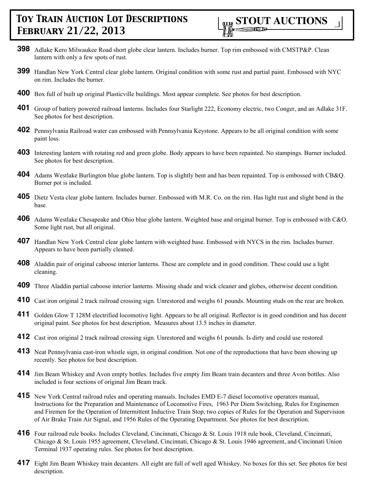- **398** Adlake Kero Milwaukee Road short globe clear lantern. Includes burner. Top rim embossed with CMSTP&P. Clean lantern with only a few spots of rust.
- **399** Handlan New York Central clear globe lantern. Original condition with some rust and partial paint. Embossed with NYC on rim. Includes the burner.
- **400** Box full of built up original Plasticville buildings. Most appear complete. See photos for best description.
- **401** Group of battery powered railroad lanterns. Includes four Starlight 222, Economy electric, two Conger, and an Adlake 31F. See photos for best description.
- **402** Pennsylvania Railroad water can embossed with Pennsylvania Keystone. Appears to be all original condition with some paint loss.
- **403** Interesting lantern with rotating red and green globe. Body appears to have been repainted. No stampings. Burner included. See photos for best description.
- **404** Adams Westlake Burlington blue globe lantern. Top is slightly bent and has been repainted. Top is embossed with CB&Q. Burner pot is included.
- **405** Dietz Vesta clear globe lantern. Includes burner. Embossed with M.R. Co. on the rim. Has light rust and slight bend in the base.
- **406** Adams Westlake Chesapeake and Ohio blue globe lantern. Weighted base and original burner. Top is embossed with C&O. Some light rust, but all original.
- **407** Handlan New York Central clear globe lantern with weighted base. Embossed with NYCS in the rim. Includes burner. Appears to have been partially cleaned.
- **408** Aladdin pair of original caboose interior lanterns. These are complete and in good condition. These could use a light cleaning.
- **409** Three Aladdin partial caboose interior lanterns. Missing shade and wick cleaner and globes, otherwise decent condition.
- **410** Cast iron original 2 track railroad crossing sign. Unrestored and weighs 61 pounds. Mounting studs on the rear are broken.
- **411** Golden Glow T 128M electrified locomotive light. Appears to be all original. Reflector is in good condition and has decent original paint. See photos for best description. Measures about 13.5 inches in diameter.
- **412** Cast iron original 2 track railroad crossing sign. Unrestored and weighs 61 pounds. Is dirty and could use restored
- **413** Neat Pennsylvania cast-iron whistle sign, in original condition. Not one of the reproductions that have been showing up recently. See photos for best description.
- **414** Jim Beam Whiskey and Avon empty bottles. Includes five empty Jim Beam train decanters and three Avon bottles. Also included is four sections of original Jim Beam track.
- **415** New York Central railroad rules and operating manuals. Includes EMD E-7 diesel locomotive operators manual, Instructions for the Preparation and Maintenance of Locomotive Fires, 1963 Per Diem Switching, Rules for Enginemen and Firemen for the Operation of Intermittent Inductive Train Stop, two copies of Rules for the Operation and Supervision of Air Brake Train Air Signal, and 1956 Rules of the Operating Department. See photos for best description.
- **416** Four railroad rule books. Includes Cleveland, Cincinnati, Chicago & St. Louis 1918 rule book, Cleveland, Cincinnati, Chicago & St. Louis 1955 agreement, Cleveland, Cincinnati, Chicago & St. Louis 1946 agreement, and Cincinnati Union Terminal 1937 operating rules. See photos for best description.
- **417** Eight Jim Beam Whiskey train decanters. All eight are full of well aged Whiskey. No boxes for this set. See photos for best description.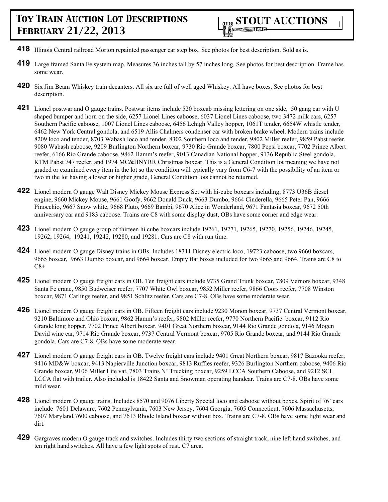- **418** Illinois Central railroad Morton repainted passenger car step box. See photos for best description. Sold as is.
- **419** Large framed Santa Fe system map. Measures 36 inches tall by 57 inches long. See photos for best description. Frame has some wear.
- **420** Six Jim Beam Whiskey train decanters. All six are full of well aged Whiskey. All have boxes. See photos for best description.
- **421** Lionel postwar and O gauge trains. Postwar items include 520 boxcab missing lettering on one side, 50 gang car with U shaped bumper and horn on the side, 6257 Lionel Lines caboose, 6037 Lionel Lines caboose, two 3472 milk cars, 6257 Southern Pacific caboose, 1007 Lionel Lines caboose, 6456 Lehigh Valley hopper, 1061T tender, 6654W whistle tender, 6462 New York Central gondola, and 6519 Allis Chalmers condenser car with broken brake wheel. Modern trains include 8209 loco and tender, 8703 Wabash loco and tender, 8302 Southern loco and tender, 9802 Miller reefer, 9859 Pabst reefer, 9080 Wabash caboose, 9209 Burlington Northern boxcar, 9730 Rio Grande boxcar, 7800 Pepsi boxcar, 7702 Prince Albert reefer, 6166 Rio Grande caboose, 9862 Hamm's reefer, 9013 Canadian National hopper, 9136 Republic Steel gondola, KTM Pabst 747 reefer, and 1974 MC&HNYRR Christmas boxcar. This is a General Condition lot meaning we have not graded or examined every item in the lot so the condition will typically vary from C6-7 with the possibility of an item or two in the lot having a lower or higher grade, General Condition lots cannot be returned.
- **422** Lionel modern O gauge Walt Disney Mickey Mouse Express Set with hi-cube boxcars including; 8773 U36B diesel engine, 9660 Mickey Mouse, 9661 Goofy, 9662 Donald Duck, 9663 Dumbo, 9664 Cinderella, 9665 Peter Pan, 9666 Pinocchio, 9667 Snow white, 9668 Pluto, 9669 Bambi, 9670 Alice in Wonderland, 9671 Fantasia boxcar, 9672 50th anniversary car and 9183 caboose. Trains are C8 with some display dust, OBs have some corner and edge wear.
- **423** Lionel modern O gauge group of thirteen hi cube boxcars include 19261, 19271, 19265, 19270, 19256, 19246, 19245, 19262, 19264, 19241, 19242, 19280, and 19281. Cars are C8 with run time.
- **424** Lionel modern O gauge Disney trains in OBs. Includes 18311 Disney electric loco, 19723 caboose, two 9660 boxcars, 9665 boxcar, 9663 Dumbo boxcar, and 9664 boxcar. Empty flat boxes included for two 9665 and 9664. Trains are C8 to  $C8+$
- **425** Lionel modern O gauge freight cars in OB. Ten freight cars include 9735 Grand Trunk boxcar, 7809 Vernors boxcar, 9348 Santa Fe crane, 9850 Budweiser reefer, 7707 White Owl boxcar, 9852 Miller reefer, 9866 Coors reefer, 7708 Winston boxcar, 9871 Carlings reefer, and 9851 Schlitz reefer. Cars are C7-8. OBs have some moderate wear.
- **426** Lionel modern O gauge freight cars in OB. Fifteen freight cars include 9230 Monon boxcar, 9737 Central Vermont boxcar, 9210 Baltimore and Ohio boxcar, 9862 Hamm's reefer, 9802 Miller reefer, 9770 Northern Pacific boxcar, 9112 Rio Grande long hopper, 7702 Prince Albert boxcar, 9401 Great Northern boxcar, 9144 Rio Grande gondola, 9146 Mogen David wine car, 9714 Rio Grande boxcar, 9737 Central Vermont boxcar, 9705 Rio Grande boxcar, and 9144 Rio Grande gondola. Cars are C7-8. OBs have some moderate wear.
- **427** Lionel modern O gauge freight cars in OB. Twelve freight cars include 9401 Great Northern boxcar, 9817 Bazooka reefer, 9416 MD&W boxcar, 9413 Napierville Junction boxcar, 9813 Ruffles reefer, 9326 Burlington Northern caboose, 9406 Rio Grande boxcar, 9106 Miller Lite vat, 7803 Trains N' Trucking boxcar, 9259 LCCA Southern Caboose, and 9212 SCL LCCA flat with trailer. Also included is 18422 Santa and Snowman operating handcar. Trains are C7-8. OBs have some mild wear.
- **428** Lionel modern O gauge trains. Includes 8570 and 9076 Liberty Special loco and caboose without boxes. Spirit of 76' cars include 7601 Delaware, 7602 Pennsylvania, 7603 New Jersey, 7604 Georgia, 7605 Connecticut, 7606 Massachusetts, 7607 Maryland,7600 caboose, and 7613 Rhode Island boxcar without box. Trains are C7-8. OBs have some light wear and dirt.
- **429** Gargraves modern O gauge track and switches. Includes thirty two sections of straight track, nine left hand switches, and ten right hand switches. All have a few light spots of rust. C7 area.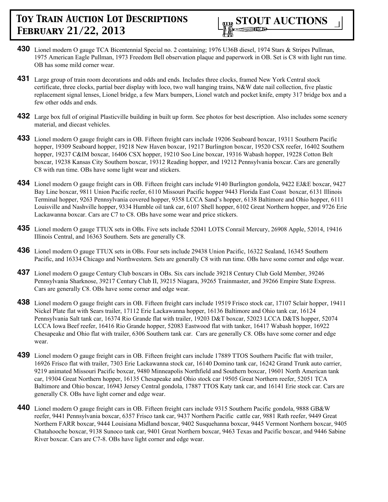

- **430** Lionel modern O gauge TCA Bicentennial Special no. 2 containing; 1976 U36B diesel, 1974 Stars & Stripes Pullman, 1975 American Eagle Pullman, 1973 Freedom Bell observation plaque and paperwork in OB. Set is C8 with light run time. OB has some mild corner wear.
- **431** Large group of train room decorations and odds and ends. Includes three clocks, framed New York Central stock certificate, three clocks, partial beer display with loco, two wall hanging trains, N&W date nail collection, five plastic replacement signal lenses, Lionel bridge, a few Marx bumpers, Lionel watch and pocket knife, empty 317 bridge box and a few other odds and ends.
- **432** Large box full of original Plasticville building in built up form. See photos for best description. Also includes some scenery material, and diecast vehicles.
- **433** Lionel modern O gauge freight cars in OB. Fifteen freight cars include 19206 Seaboard boxcar, 19311 Southern Pacific hopper, 19309 Seaboard hopper, 19218 New Haven boxcar, 19217 Burlington boxcar, 19520 CSX reefer, 16402 Southern hopper, 19237 C&IM boxcar, 16406 CSX hopper, 19210 Soo Line boxcar, 19316 Wabash hopper, 19228 Cotton Belt boxcar, 19238 Kansas City Southern boxcar, 19312 Reading hopper, and 19212 Pennsylvania boxcar. Cars are generally C8 with run time. OBs have some light wear and stickers.
- **434** Lionel modern O gauge freight cars in OB. Fifteen freight cars include 9140 Burlington gondola, 9422 EJ&E boxcar, 9427 Bay Line boxcar, 9811 Union Pacific reefer, 6110 Missouri Pacific hopper 9443 Florida East Coast boxcar, 6131 Illinois Terminal hopper, 9263 Pennsylvania covered hopper, 9358 LCCA Sand's hopper, 6138 Baltimore and Ohio hopper, 6111 Louisville and Nashville hopper, 9334 Humble oil tank car, 6107 Shell hopper, 6102 Great Northern hopper, and 9726 Erie Lackawanna boxcar. Cars are C7 to C8. OBs have some wear and price stickers.
- **435** Lionel modern O gauge TTUX sets in OBs. Five sets include 52041 LOTS Conrail Mercury, 26908 Apple, 52014, 19416 Illinois Central, and 16363 Southern. Sets are generally C8.
- **436** Lionel modern O gauge TTUX sets in OBs. Four sets include 29438 Union Pacific, 16322 Sealand, 16345 Southern Pacific, and 16334 Chicago and Northwestern. Sets are generally C8 with run time. OBs have some corner and edge wear.
- **437** Lionel modern O gauge Century Club boxcars in OBs. Six cars include 39218 Century Club Gold Member, 39246 Pennsylvania Sharknose, 39217 Century Club II, 39215 Niagara, 39265 Trainmaster, and 39266 Empire State Express. Cars are generally C8. OBs have some corner and edge wear.
- **438** Lionel modern O gauge freight cars in OB. Fifteen freight cars include 19519 Frisco stock car, 17107 Sclair hopper, 19411 Nickel Plate flat with Sears trailer, 17112 Erie Lackawanna hopper, 16136 Baltimore and Ohio tank car, 16124 Pennsylvania Salt tank car, 16374 Rio Grande flat with trailer, 19203 D&T boxcar, 52023 LCCA D&TS hopper, 52074 LCCA Iowa Beef reefer, 16416 Rio Grande hopper, 52083 Eastwood flat with tanker, 16417 Wabash hopper, 16922 Chesapeake and Ohio flat with trailer, 6306 Southern tank car. Cars are generally C8. OBs have some corner and edge wear.
- **439** Lionel modern O gauge freight cars in OB. Fifteen freight cars include 17889 TTOS Southern Pacific flat with trailer, 16926 Frisco flat with trailer, 7303 Erie Lackawanna stock car, 16140 Domino tank car, 16242 Grand Trunk auto carrier, 9219 animated Missouri Pacific boxcar, 9480 Minneapolis Northfield and Southern boxcar, 19601 North American tank car, 19304 Great Northern hopper, 16135 Chesapeake and Ohio stock car 19505 Great Northern reefer, 52051 TCA Baltimore and Ohio boxcar, 16943 Jersey Central gondola, 17887 TTOS Katy tank car, and 16141 Erie stock car. Cars are generally C8. OBs have light corner and edge wear.
- **440** Lionel modern O gauge freight cars in OB. Fifteen freight cars include 9315 Southern Pacific gondola, 9888 GB&W reefer, 9441 Pennsylvania boxcar, 6357 Frisco tank car, 9437 Northern Pacific cattle car, 9881 Rath reefer, 9449 Great Northern FARR boxcar, 9444 Louisiana Midland boxcar, 9402 Susquehanna boxcar, 9445 Vermont Northern boxcar, 9405 Chatahooche boxcar, 9138 Sunoco tank car, 9401 Great Northern boxcar, 9463 Texas and Pacific boxcar, and 9446 Sabine River boxcar. Cars are C7-8. OBs have light corner and edge wear.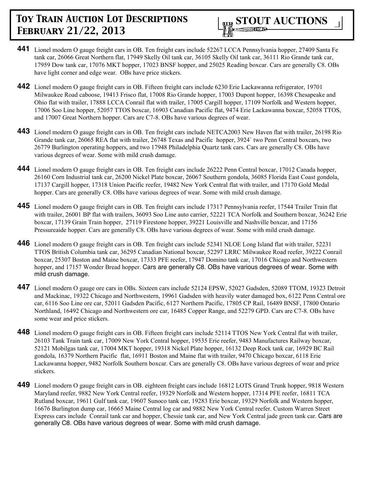- **441** Lionel modern O gauge freight cars in OB. Ten freight cars include 52267 LCCA Pennsylvania hopper, 27409 Santa Fe tank car, 26066 Great Northern flat, 17949 Skelly Oil tank car, 36105 Skelly Oil tank car, 36111 Rio Grande tank car, 17959 Dow tank car, 17076 MKT hopper, 17023 BNSF hopper, and 25025 Reading boxcar. Cars are generally C8. OBs have light corner and edge wear. OBs have price stickers.
- **442** Lionel modern O gauge freight cars in OB. Fifteen freight cars include 6230 Erie Lackawanna refrigerator, 19701 Milwaukee Road caboose, 19413 Frisco flat, 17008 Rio Grande hopper, 17003 Dupont hopper, 16398 Chesapeake and Ohio flat with trailer, 17888 LCCA Conrail flat with trailer, 17005 Cargill hopper, 17109 Norfolk and Western hopper, 17006 Soo Line hopper, 52057 TTOS boxcar, 16903 Canadian Pacific flat, 9474 Erie Lackawanna boxcar, 52058 TTOS, and 17007 Great Northern hopper. Cars are C7-8. OBs have various degrees of wear.
- **443** Lionel modern O gauge freight cars in OB. Ten freight cars include NETCA2003 New Haven flat with trailer, 26198 Rio Grande tank car, 26065 REA flat with trailer, 26748 Texas and Pacific hopper, 3924` two Penn Central boxcars, two 26779 Burlington operating hoppers, and two 17948 Philadelphia Quartz tank cars. Cars are generally C8. OBs have various degrees of wear. Some with mild crush damage.
- **444** Lionel modern O gauge freight cars in OB. Ten freight cars include 26222 Penn Central boxcar, 17012 Canada hopper, 26160 Corn Industrial tank car, 26200 Nickel Plate boxcar, 26067 Southern gondola, 36085 Florida East Coast gondola, 17137 Cargill hopper, 17318 Union Pacific reefer, 19482 New York Central flat with trailer, and 17170 Gold Medal hopper. Cars are generally C8. OBs have various degrees of wear. Some with mild crush damage.
- **445** Lionel modern O gauge freight cars in OB. Ten freight cars include 17317 Pennsylvania reefer, 17544 Trailer Train flat with trailer, 26001 BP flat with trailers, 36093 Soo Line auto carrier, 52221 TCA Norfolk and Southern boxcar, 36242 Erie boxcar, 17139 Grain Train hopper, 27119 Firestone hopper, 39221 Louisville and Nashville boxcar, and 17156 Pressureaide hopper. Cars are generally C8. OBs have various degrees of wear. Some with mild crush damage.
- **446** Lionel modern O gauge freight cars in OB. Ten freight cars include 52341 NLOE Long Island flat with trailer, 52231 TTOS British Columbia tank car, 36295 Canadian National boxcar, 52297 LRRC Milwaukee Road reefer, 39222 Conrail boxcar, 25307 Boston and Maine boxcar, 17333 PFE reefer, 17947 Domino tank car, 17016 Chicago and Northwestern hopper, and 17157 Wonder Bread hopper. Cars are generally C8. OBs have various degrees of wear. Some with mild crush damage.
- **447** Lionel modern O gauge ore cars in OBs. Sixteen cars include 52124 EPSW, 52027 Gadsden, 52089 TTOM, 19323 Detroit and Mackinac, 19322 Chicago and Northwestern, 19961 Gadsden with heavily water damaged box, 6122 Penn Central ore car, 6116 Soo Line ore car, 52011 Gadsden Pacific, 6127 Northern Pacific, 17805 CP Rail, 16489 BNSF, 17800 Ontario Northland, 16492 Chicago and Northwestern ore car, 16485 Copper Range, and 52279 GPD. Cars are C7-8. OBs have some wear and price stickers.
- **448** Lionel modern O gauge freight cars in OB. Fifteen freight cars include 52114 TTOS New York Central flat with trailer, 26103 Tank Train tank car, 17009 New York Central hopper, 19535 Erie reefer, 9483 Manufactures Railway boxcar, 52121 Mobilgas tank car, 17004 MKT hopper, 19318 Nickel Plate hopper, 16132 Deep Rock tank car, 16929 BC Rail gondola, 16379 Northern Pacific flat, 16911 Boston and Maine flat with trailer, 9470 Chicago boxcar, 6118 Erie Lackawanna hopper, 9482 Norfolk Southern boxcar. Cars are generally C8. OBs have various degrees of wear and price stickers.
- **449** Lionel modern O gauge freight cars in OB. eighteen freight cars include 16812 LOTS Grand Trunk hopper, 9818 Western Maryland reefer, 9882 New York Central reefer, 19329 Norfolk and Western hopper, 17314 PFE reefer, 16811 TCA Rutland boxcar, 19611 Gulf tank car, 19607 Sunoco tank car, 19283 Erie boxcar, 19329 Norfolk and Western hopper, 16676 Burlington dump car, 16665 Maine Central log car and 9882 New York Central reefer. Custom Warren Street Express cars include Conrail tank car and hopper, Chessie tank car, and New York Central jade green tank car. Cars are generally C8. OBs have various degrees of wear. Some with mild crush damage.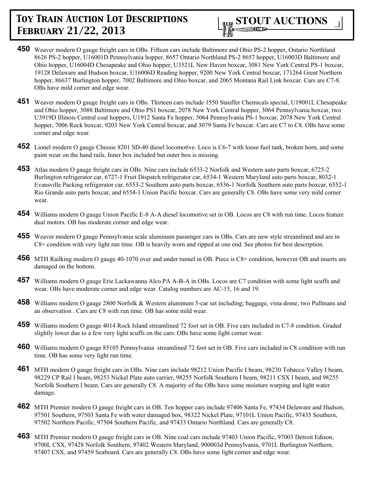- **450** Weaver modern O gauge freight cars in OBs. Fifteen cars include Baltimore and Ohio PS-2 hopper, Ontario Northland 8626 PS-2 hopper, U16001D Pennsylvania hopper, 8657 Ontario Northland PS-2 8657 hopper, U16003D Baltimore and Ohio hopper, U16004D Chesapeake and Ohio hopper, U3521L New Haven boxcar, 3081 New York Central PS-1 boxcar, 19128 Delaware and Hudson boxcar, U16006D Reading hopper, 9200 New York Central boxcar, 171264 Great Northern hopper, 86637 Burlington hopper, 7002 Baltimore and Ohio boxcar, and 2065 Montana Rail Link boxcar. Cars are C7-8. OBs have mild corner and edge wear.
- **451** Weaver modern O gauge freight cars in OBs. Thirteen cars include 1550 Stauffer Chemicals special, U19001L Chesapeake and Ohio hopper, 3088 Baltimore and Ohio PS1 boxcar, 2078 New York Central hopper, 3064 Pennsylvania boxcar, two U3919D Illinois Central coal hoppers, U1912 Santa Fe hopper, 3064 Pennsylvania PS-1 boxcar, 2078 New York Central hopper, 7006 Rock boxcar, 9203 New York Central boxcar, and 3079 Santa Fe boxcar. Cars are C7 to C8. OBs have some corner and edge wear.
- **452** Lionel modern O gauge Chessie 8201 SD-40 diesel locomotive. Loco is C6-7 with loose fuel tank, broken horn, and some paint wear on the hand rails. Inner box included but outer box is missing.
- **453** Atlas modern O gauge freight cars in OBs. Nine cars include 6533-2 Norfolk and Western auto parts boxcar, 6725-2 Burlington refrigerator car, 6727-1 Fruit Dispatch refrigerator car, 6534-1 Western Maryland auto parts boxcar, 8032-1 Evansville Packing refrigerator car, 6553-2 Southern auto parts boxcar, 6536-1 Norfolk Southern auto parts boxcar, 6552-1 Rio Grande auto parts boxcar, and 6554-1 Union Pacific boxcar. Cars are generally C8. OBs have some very mild corner wear.
- **454** Williams modern O gauge Union Pacific E-8 A-A diesel locomotive set in OB. Locos are C8 with run time. Locos feature dual motors. OB has moderate corner and edge wear.
- **455** Weaver modern O gauge Pennsylvania scale aluminum passenger cars in OBs. Cars are new style streamlined and are in C8+ condition with very light run time. OB is heavily worn and ripped at one end. See photos for best description.
- **456** MTH Railking modern O gauge 40-1070 over and under tunnel in OB. Piece is C8+ condition, however OB and inserts are damaged on the bottom.
- **457** Williams modern O gauge Erie Lackawanna Alco PA A-B-A in OBs. Locos are C7 condition with some light scuffs and wear. OBs have moderate corner and edge wear. Catalog numbers are AC-15, 16 and 19.
- **458** Williams modern O gauge 2800 Norfolk & Western aluminum 5-car set including; baggage, vista dome, two Pullmans and an observation . Cars are C8 with run time. OB has some mild wear.
- **459** Williams modern O gauge 4014 Rock Island streamlined 72 foot set in OB. Five cars included in C7-8 condition. Graded slightly lower due to a few very light scuffs on the cars. OBs have some light corner wear.
- **460** Williams modern O gauge 85105 Pennsylvania streamlined 72 foot set in OB. Five cars included in C8 condition with run time. OB has some very light run time.
- **461** MTH modern O gauge freight cars in OBs. Nine cars include 98212 Union Pacific I beam, 98230 Tobacco Valley I beam, 98229 CP Rail I beam, 98253 Nickel Plate auto carrier, 98255 Norfolk Southern I beam, 98211 CSX I beam, and 98255 Norfolk Southern I beam. Cars are generally C8. A majority of the OBs have some moisture warping and light water damage.
- **462** MTH Premier modern O gauge freight cars in OB. Ten hopper cars include 97406 Santa Fe, 97434 Delaware and Hudson, 97501 Southern, 97503 Santa Fe with water damaged box, 98322 Nickel Plate, 97101L Union Pacific, 97435 Southern, 97502 Northern Pacific, 97504 Southern Pacific, and 97433 Ontario Northland. Cars are generally C8.
- **463** MTH Premier modern O gauge freight cars in OB. Nine coal cars include 97403 Union Pacific, 97003 Detroit Edison, 9700L CSX, 97428 Norfolk Southern, 97402 Western Maryland, 900003d Pennsylvania, 9701L Burlington Northern, 97407 CSX, and 97459 Seaboard. Cars are generally C8. OBs have some light corner and edge wear.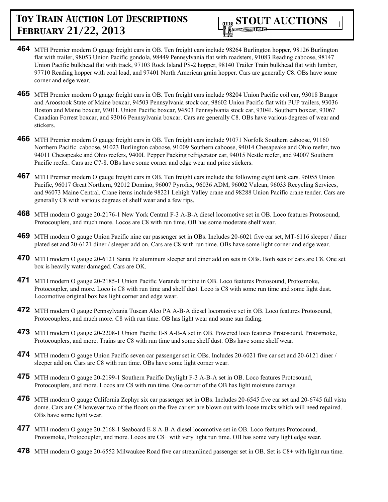

- **464** MTH Premier modern O gauge freight cars in OB. Ten freight cars include 98264 Burlington hopper, 98126 Burlington flat with trailer, 98053 Union Pacific gondola, 98449 Pennsylvania flat with roadsters, 91083 Reading caboose, 98147 Union Pacific bulkhead flat with track, 97103 Rock Island PS-2 hopper, 98140 Trailer Train bulkhead flat with lumber, 97710 Reading hopper with coal load, and 97401 North American grain hopper. Cars are generally C8. OBs have some corner and edge wear.
- **465** MTH Premier modern O gauge freight cars in OB. Ten freight cars include 98204 Union Pacific coil car, 93018 Bangor and Aroostook State of Maine boxcar, 94503 Pennsylvania stock car, 98602 Union Pacific flat with PUP trailers, 93036 Boston and Maine boxcar, 9301L Union Pacific boxcar, 94503 Pennsylvania stock car, 9304L Southern boxcar, 93067 Canadian Forrest boxcar, and 93016 Pennsylvania boxcar. Cars are generally C8. OBs have various degrees of wear and stickers.
- **466** MTH Premier modern O gauge freight cars in OB. Ten freight cars include 91071 Norfolk Southern caboose, 91160 Northern Pacific caboose, 91023 Burlington caboose, 91009 Southern caboose, 94014 Chesapeake and Ohio reefer, two 94011 Chesapeake and Ohio reefers, 9400L Pepper Packing refrigerator car, 94015 Nestle reefer, and 94007 Southern Pacific reefer. Cars are C7-8. OBs have some corner and edge wear and price stickers.
- **467** MTH Premier modern O gauge freight cars in OB. Ten freight cars include the following eight tank cars. 96055 Union Pacific, 96017 Great Northern, 92012 Domino, 96007 Pyrofax, 96036 ADM, 96002 Vulcan, 96033 Recycling Services, and 96073 Maine Central. Crane items include 98221 Lehigh Valley crane and 98288 Union Pacific crane tender. Cars are generally C8 with various degrees of shelf wear and a few rips.
- **468** MTH modern O gauge 20-2176-1 New York Central F-3 A-B-A diesel locomotive set in OB. Loco features Protosound, Protocouplers, and much more. Locos are C8 with run time. OB has some moderate shelf wear.
- **469** MTH modern O gauge Union Pacific nine car passenger set in OBs. Includes 20-6021 five car set, MT-6116 sleeper / diner plated set and 20-6121 diner / sleeper add on. Cars are C8 with run time. OBs have some light corner and edge wear.
- **470** MTH modern O gauge 20-6121 Santa Fe aluminum sleeper and diner add on sets in OBs. Both sets of cars are C8. One set box is heavily water damaged. Cars are OK.
- **471** MTH modern O gauge 20-2185-1 Union Pacific Veranda turbine in OB. Loco features Protosound, Protosmoke, Protocoupler, and more. Loco is C8 with run time and shelf dust. Loco is C8 with some run time and some light dust. Locomotive original box has light corner and edge wear.
- **472** MTH modern O gauge Pennsylvania Tuscan Alco PA A-B-A diesel locomotive set in OB. Loco features Protosound, Protocouplers, and much more. C8 with run time. OB has light wear and some sun fading.
- **473** MTH modern O gauge 20-2208-1 Union Pacific E-8 A-B-A set in OB. Powered loco features Protosound, Protosmoke, Protocouplers, and more. Trains are C8 with run time and some shelf dust. OBs have some shelf wear.
- **474** MTH modern O gauge Union Pacific seven car passenger set in OBs. Includes 20-6021 five car set and 20-6121 diner / sleeper add on. Cars are C8 with run time. OBs have some light corner wear.
- **475** MTH modern O gauge 20-2199-1 Southern Pacific Daylight F-3 A-B-A set in OB. Loco features Protosound, Protocouplers, and more. Locos are C8 with run time. One corner of the OB has light moisture damage.
- **476** MTH modern O gauge California Zephyr six car passenger set in OBs. Includes 20-6545 five car set and 20-6745 full vista dome. Cars are C8 however two of the floors on the five car set are blown out with loose trucks which will need repaired. OBs have some light wear.
- **477** MTH modern O gauge 20-2168-1 Seaboard E-8 A-B-A diesel locomotive set in OB. Loco features Protosound, Protosmoke, Protocoupler, and more. Locos are C8+ with very light run time. OB has some very light edge wear.
- **478** MTH modern O gauge 20-6552 Milwaukee Road five car streamlined passenger set in OB. Set is C8+ with light run time.